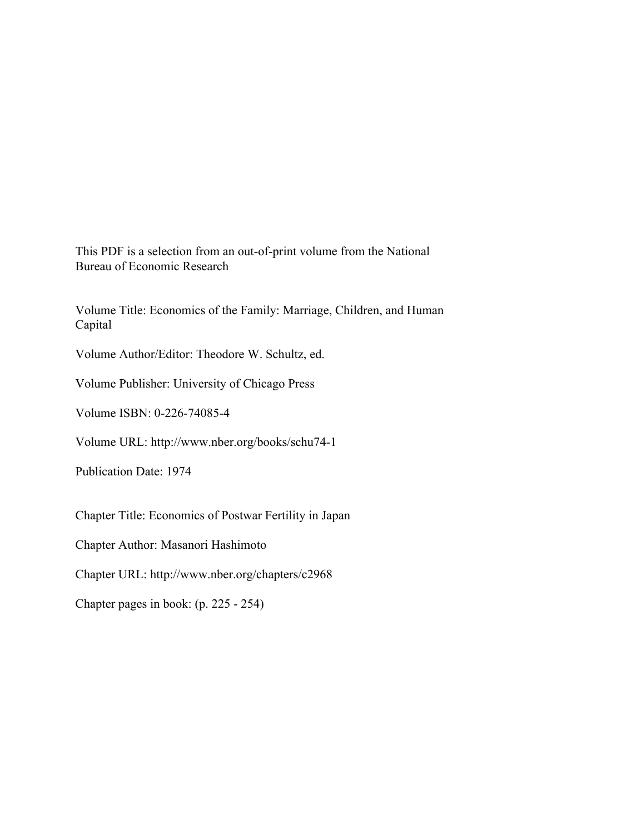This PDF is a selection from an out-of-print volume from the National Bureau of Economic Research

Volume Title: Economics of the Family: Marriage, Children, and Human Capital

Volume Author/Editor: Theodore W. Schultz, ed.

Volume Publisher: University of Chicago Press

Volume ISBN: 0-226-74085-4

Volume URL: http://www.nber.org/books/schu74-1

Publication Date: 1974

Chapter Title: Economics of Postwar Fertility in Japan

Chapter Author: Masanori Hashimoto

Chapter URL: http://www.nber.org/chapters/c2968

Chapter pages in book: (p. 225 - 254)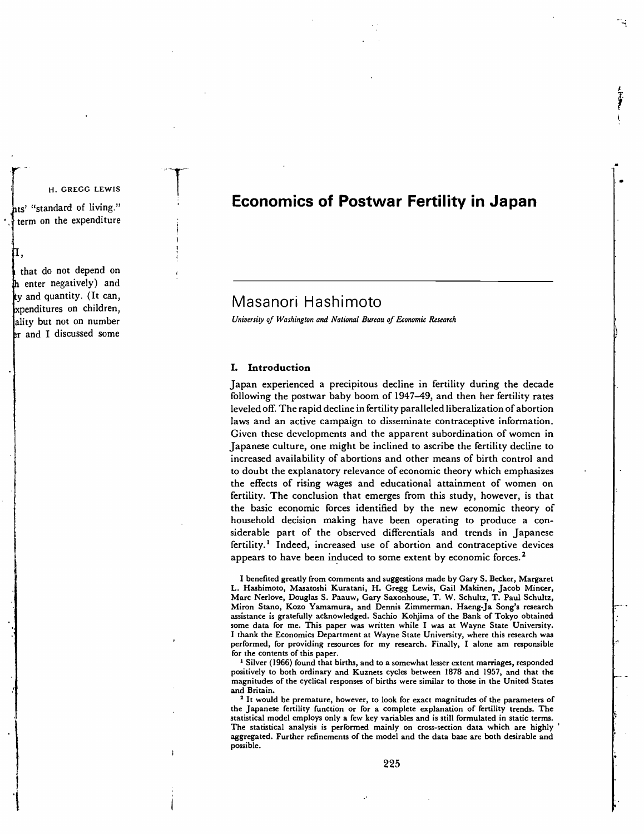# Masanori Hashimoto

University of Washington and National Bureau of Economic Research

## I. Introduction

Japan experienced a precipitous decline in fertility during the decade following the postwar baby boom of 1947—49, and then her fertility rates leveled off. The rapid decline in fertility paralleled liberalization of abortion laws and an active campaign to disseminate contraceptive information. Given these developments and the apparent subordination of women in Japanese culture, one might be inclined to ascribe the fertility decline to increased availability of abortions and other means of birth control and to doubt the explanatory relevance of economic theory which emphasizes the effects of rising wages and educational attainment of women on fertility. The conclusion that emerges from this study, however, is that the basic economic forces identified by the new economic theory of household decision making have been operating to produce a considerable part of the observed differentials and trends in Japanese fertility.' Indeed, increased use of abortion and contraceptive devices appears to have been induced to some extent by economic forces.<sup>2</sup>

I benefited greatly from Comments and suggestions made by Gary S. Becker, Margaret L. Hashimoto, Masatoshi Kuratani, H. Gregg Lewis, Gail Makinen, Jacob Mincer, Marc Nerlove, Douglas S. Paauw, Gary Saxonhouse, T. W. Schultz, T. Paul Schultz, Miron Stano, Kozo Yamamura, and Dennis Zimmerman. Haeng-Ja Song's research assistance is gratefully acknowledged. Sachio Kohjima of the Bank of Tokyo obtained some data for me. This paper was written while I was at Wayne State University. I thank the Economics Department at Wayne State University, where this research was performed, for providing resources for my research. Finally, I alone am responsible for the contents of this paper.

<sup>1</sup> Silver (1966) found that births, and to a somewhat lesser extent marriages, responded positively to both ordinary and Kuznets cycles between 1878 and 1957, and that the magnitudes of the cyclical responses of births were similar to those in the United States and Britain.

<sup>2</sup> It would be premature, however, to look for exact magnitudes of the parameters of the Japanese fertility function or for a complete explanation of fertility trends. The statistical model employs only a few key variables and is still formulated in static terms. The statistical analysis is performed mainly on cross-section data which are highly aggregated. Further refinements of the model and the data base are both desirable and possible.

 $\ddot{\phantom{a}}$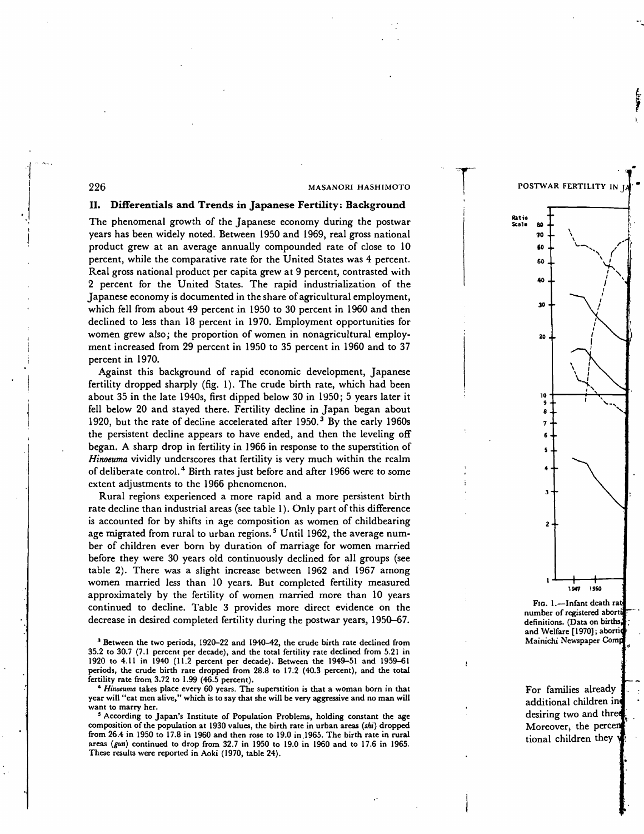$\ddot{\phantom{0}}$ 

### II. Differentials and Trends in Japanese Fertility: Background

The phenomenal growth of the Japanese economy during the postwar years has been widely noted. Between 1950 and 1969, real gross national product grew at an average annually compounded rate of close to 10 percent, while the comparative rate for the United States was 4 percent. Real gross national product per capita grew at 9 percent, contrasted with 2 percent for the United States. The rapid industrialization of the Japanese economy is documented in the share of agricultural employment, which fell from about 49 percent in 1950 to 30 percent in 1960 and then declined to less than 18 percent in 1970. Employment opportunities for women grew also; the proportion of women in nonagricultural employment increased from 29 percent in 1950 to 35 percent in 1960 and to 37 percent in 1970.

Against this background of rapid economic development, Japanese fertility dropped sharply (fig. 1). The crude birth rate, which had been about 35 in the late 1940s, first dipped below 30 in 1950; 5 years later it fell below 20 and stayed there. Fertility decline in Japan began about 1920, but the rate of decline accelerated after  $1950.<sup>3</sup>$  By the early 1960s the persistent decline appears to have ended, and then the leveling off began. A sharp drop in fertility in 1966 in response to the superstition of Hinoeuma vividly underscores that fertility is very much within the realm of deliberate control.4 Birth rates just before and after 1966 were to some extent adjustments to the 1966 phenomenon.

Rural regions experienced a more rapid and a more persistent birth rate decline than industrial areas (see table 1). Only part of this difference is accounted for by shifts in age composition as women of childbearing age migrated from rural to urban regions.<sup>5</sup> Until 1962, the average number of children ever born by duration of marriage for women married before they were 30 years old continuously declined for all groups (see table 2). There was a slight increase between 1962 and 1967 among women married less than 10 years. But completed fertility measured approximately by the fertility of women married more than 10 years continued to decline. Table 3 provides more direct evidence on the decrease in desired completed fertility during the postwar years, 1950—67.

<sup>&</sup>lt;sup>3</sup> Between the two periods, 1920–22 and 1940–42, the crude birth rate declined from 35.2 to 30.7 (7.1 percent per decade), and the total fertility rate declined from 5.21 in 1920 to 4.11 in 1940 (11.2 percent per decade). Between the 1949—51 and 1959—61 periods, the crude birth rate dropped from 28.8 to 17.2 (40.3 percent), and the total fertility rate from 3.72 to 1.99 (46.5 percent).

<sup>&</sup>lt;sup>4</sup> Hinoeuma takes place every 60 years. The superstition is that a woman born in that year will "eat men alive," which is to say that she will be very aggressive and no man will want to marry her.

<sup>&</sup>lt;sup>5</sup> According to Japan's Institute of Population Problems, holding constant the age composition of the population at 1930 values, the birth rate in urban areas (shi) dropped from 26.4 in 1950 to 17.8 in 1960 and then rose to 19.0 in .1965. The birth rate in rural areas (gun) continued to drop from 32.7 in 1950 to 19.0 in 1960 and to 17.6 in 1965. These results were reported in Aoki (1970, table 24).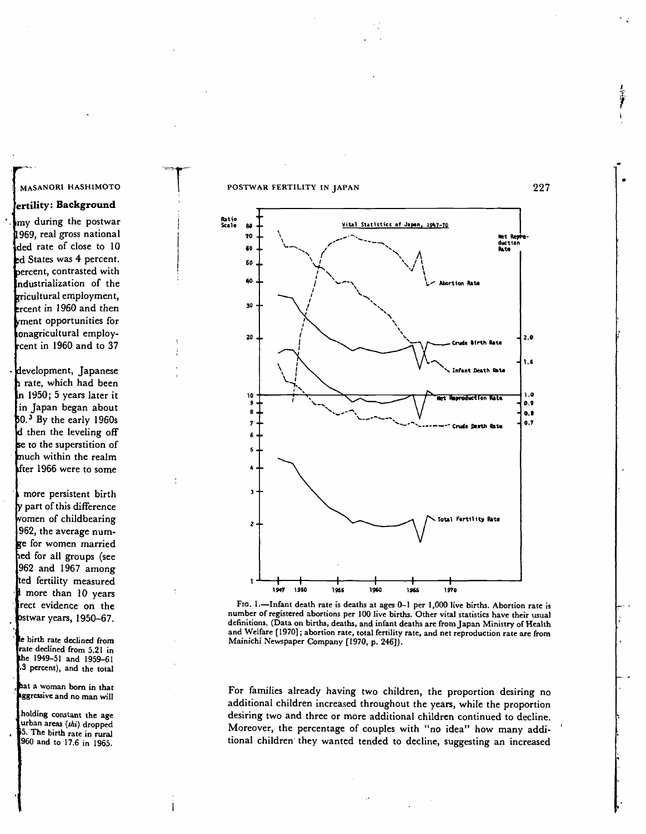

Fic. 1.—Infant death rate is deaths at ages 0—1 per 1,000 live births. Abortion rate is number of registered abortions per 100 live births. Other vital statistics have their usual definitions. (Data on births, deaths, and infant deaths are from Japan Ministry of Health and Welfare [1970]; abortion rate, total fertility rate, and net reproduction rate are from Mainichi Newspaper Company [1970, p. 246]).

For families already having two children, the proportion desiring no additional children increased throughout the years, while the proportion desiring two and three or more additional children continued to decline. Moreover, the percentage of couples with "no idea" how many additional children they wanted tended to decline, suggesting an increased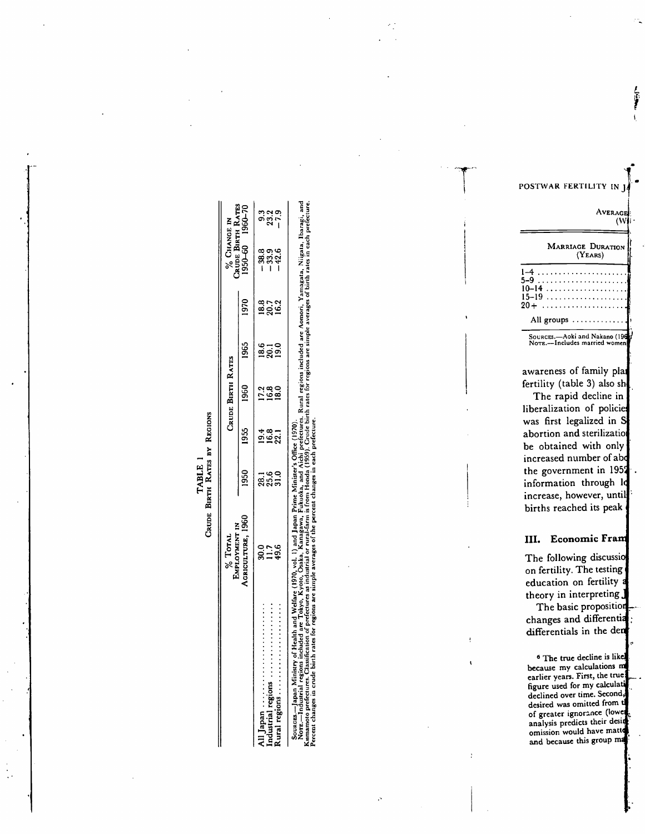|       | Region     |  |
|-------|------------|--|
| TABLE | ă<br>RATES |  |
|       | BIRTH      |  |
|       | ר<br>ק     |  |

ð

= <del>៩</del>  $\sum_{i=1}^{n}$ ೦ ನೆಟಿ ಕಿ ິ້ີ ລີຍ  $\mathbf{v}$  and  $\mathbf{v}$ 

 $\cdot$ 

 $\hat{\phi}_{\alpha\beta}$ 

 $\ddot{\phantom{a}}$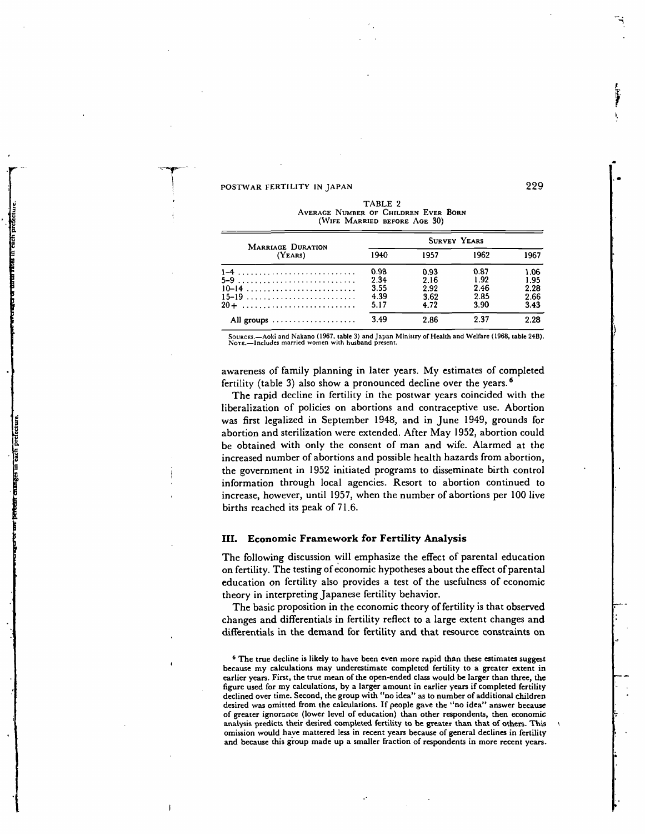| <b>MARRIAGE DURATION</b>                                              |      |      | <b>SURVEY YEARS</b> |      |
|-----------------------------------------------------------------------|------|------|---------------------|------|
| $(Y_{EARS})$                                                          | 1940 | 1957 | 1962                | 1967 |
|                                                                       | 0.98 | 0.93 | 0.87                | 1.06 |
| 5–9                                                                   | 2.34 | 2.16 | 1.92                | 1.95 |
| $10-14$                                                               | 3.55 | 2.92 | 2.46                | 2.28 |
| $15 - 19$                                                             | 4.39 | 3.62 | 2.85                | 2.66 |
| $20 + \ldots \ldots \ldots \ldots \ldots \ldots \ldots \ldots \ldots$ | 5.17 | 4.72 | 3.90                | 3.43 |
| All groups                                                            | 3.49 | 2.86 | 2 37                | 2.28 |

TABLE 2 AVERAGE NUMBER OF CHILDREN EVER BORN (WIFE MARRIED BEFORE AGE 30)

Sources.—Aoki and Nakano (1967, table 3) and Japan Ministry of Health and Welfare (1968, table 24B).<br>Norg.—Includes married women with husband present.

awareness of family planning in later years. My estimates of completed fertility (table 3) also show a pronounced decline over the years.<sup>6</sup>

The rapid decline in fertility in the postwar years coincided with the liberalization of policies on abortions and contraceptive use. Abortion was first legalized in September 1948, and in June 1949, grounds for abortion and sterilization were extended. After May 1952, abortion could be obtained with only the consent of man and wife. Alarmed at the increased number of abortions and possible health hazards from abortion, the government in 1952 initiated programs to disseminate birth control information through local agencies. Resort to abortion continued to increase, however, until 1957, when the number of abortions per 100 live births reached its peak of 71.6.

## III. Economic Framework for Fertility Analysis

The following discussion will emphasize the effect of parental education on fertility. The testing of economic hypotheses about the effect of parental education on fertility also provides a test of the usefulness of economic theory in interpreting Japanese fertility behavior.

The basic proposition in the economic theory of fertility is that observed changes and differentials in fertility reflect to a large extent changes and differentials in the demand for fertility and that resource constraints on

The true decline is likely to have been even more rapid than these estimates suggest because my calculations may underestimate completed fertility to a greater extent in earlier years. First, the true mean of the open-ended class would be larger than three, the figure used for my calculations, by a larger amount in earlier years if completed fertility declined over time. Second, the group with "no idea" as to number of additional children desircd was omitted from the calculations. If people gave the "no idea" answer because of greater ignorance (lower level of education) than other respondents, then economic analysis predicts their desired completed fertility to be greater than that of others. This omission would have mattered less in recent years because of general declines in fertility and because this group made up a smaller fraction of respondents in more recent years.

 $\cdot$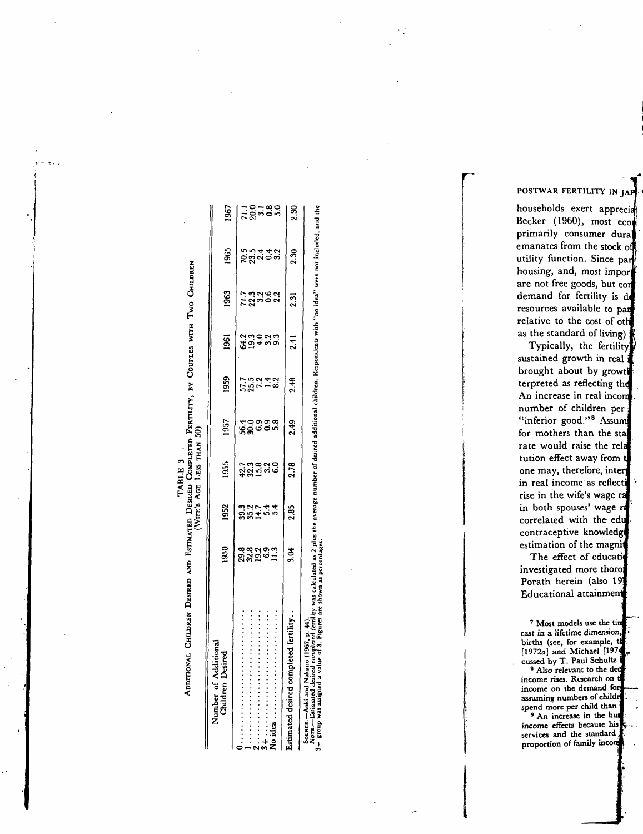| ADDITIONAL UHILDREN LJESIRED AND ESTIMATED DESIRED COMPLETED FERTILITY, BY COUPLES WITH TWO CHILDREN<br>(Wife's Age Than 50)                                                                                                         |                    |                   |                                                               |                         |                 |                  |                       |                     |                        |
|--------------------------------------------------------------------------------------------------------------------------------------------------------------------------------------------------------------------------------------|--------------------|-------------------|---------------------------------------------------------------|-------------------------|-----------------|------------------|-----------------------|---------------------|------------------------|
| Number of Additional<br>Children Desired<br>II                                                                                                                                                                                       | 1950               | 1952              | 1955                                                          | 1957                    | 1959            | 1961             | 1963                  | 1965                | 1967                   |
|                                                                                                                                                                                                                                      | និងដឹត្ត<br>ដង្កើត | codrat<br>Santana | င် မိ မိ မိ မိ မိ<br>ဟို မိ မိ မိ မိ မိ<br>ဟို မိ မိ မိ မိ မိ | ာင်ပစ်စစ်<br>နိုင်ငံစွာ | <b>いらりょうのとう</b> | angang<br>Angkan | <b>Navea</b><br>Navon | nn + + 0<br>San 0 m | $70 - 80$<br>$70 - 80$ |
| Estimated desired completed fertility.                                                                                                                                                                                               | 3.04               | 2.85              | 2.78                                                          | 2.49                    | 2.48            | 2.41             | 2.31                  | 2.30                | 2.30                   |
| Sousce.—Aoki and Nakano (1987, p. 44).<br>Nore.—Esimated desired completed ferility was calculated as 2 plus the average number of desired additional children. Respondents with "no idea" were not included, and the<br>3+ group wa |                    |                   |                                                               |                         |                 |                  |                       |                     |                        |
|                                                                                                                                                                                                                                      |                    |                   |                                                               |                         |                 |                  |                       |                     |                        |
|                                                                                                                                                                                                                                      |                    |                   |                                                               |                         |                 |                  |                       |                     |                        |
|                                                                                                                                                                                                                                      |                    |                   |                                                               |                         |                 |                  |                       |                     |                        |

 $\ddot{ }$  $\sim$  .

> > $\overline{\phantom{a}}$

z

 $\ddot{\phantom{0}}$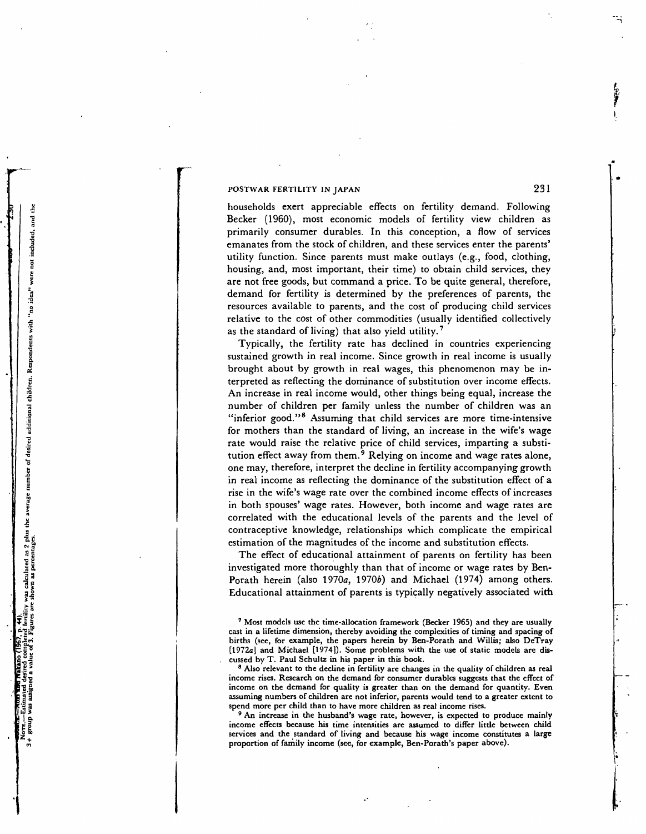households exert appreciable effects on fertility demand. Following Becker (1960), most economic models of fertility view children as primarily consumer durables. In this conception, a flow of services emanates from the stock of children, and these services enter the parents' utility function. Since parents must make outlays (e.g., food, clothing, housing, and, most important, their time) to obtain child services, they are not free goods, but command a price. To be quite general, therefore, demand for fertility is determined by the preferences of parents, the resources available to parents, and the cost of producing child services relative to the cost of other commodities (usually identified collectively as the standard of living) that also yield utility.<sup>7</sup>

Typically, the fertility rate has declined in countries experiencing sustained growth in real income. Since growth in real income is usually brought about by growth in real wages, this phenomenon may be interpreted as reflecting the dominance of substitution over income effects. An increase in real income would, other things being equal, increase the number of children per family unless the number of children was an "inferior good."<sup>8</sup> Assuming that child services are more time-intensive for mothers than the standard of living, an increase in the wife's wage rate would raise the relative price of child services, imparting a substitution effect away from them.<sup>9</sup> Relying on income and wage rates alone, one may, therefore, interpret the decline in fertility accompanying growth in real income as reflecting the dominance of the substitution effect of a rise in the wife's wage rate over the combined income effects of increases in both spouses' wage rates. However, both income and wage rates are correlated with the educational levels of the parents and the level of contraceptive knowledge, relationships which complicate the empirical estimation of the magnitudes of the income and substitution effects.

The effect of educational attainment of parents on fertility has been investigated more thoroughly than that of income or wage rates by Ben-Porath herein (also 1970a, 1970b) and Michael (1974) among others. Educational attainment of parents is typically negatively associated with

Most models use the time-allocation framework (Becker 1965) and they are usually cast in a lifetime dimension, thereby avoiding the complexities of timing and spacing of births (see, for example, the papers herein by Ben-Porath and Willis; also DeTray [1972a] and Michael [1974]). Some problems with the use of static models are discussed by T. Paul Schultz in his paper in this book.

<sup>8</sup> Also relevant to the decline in fertility are changes in the quality of children as real income rises. Research on the demand for consumer durables suggests that the effect of income on the demand for quality is greater than on the demand for quantity. Even assuming numbers of children are not inferior, parents would tend to a greater extent to spend more per child than to have more children as real income rises.

<sup>9</sup> An increase in the husband's wage rate, however, is expected to produce mainly income effects because his time intensities are assumed to differ little between child services and the standard of living and because his wage income constitutes a large proportion of family income (see, for example, Ben-Porath's paper above).

 $\ddot{\phantom{a}}$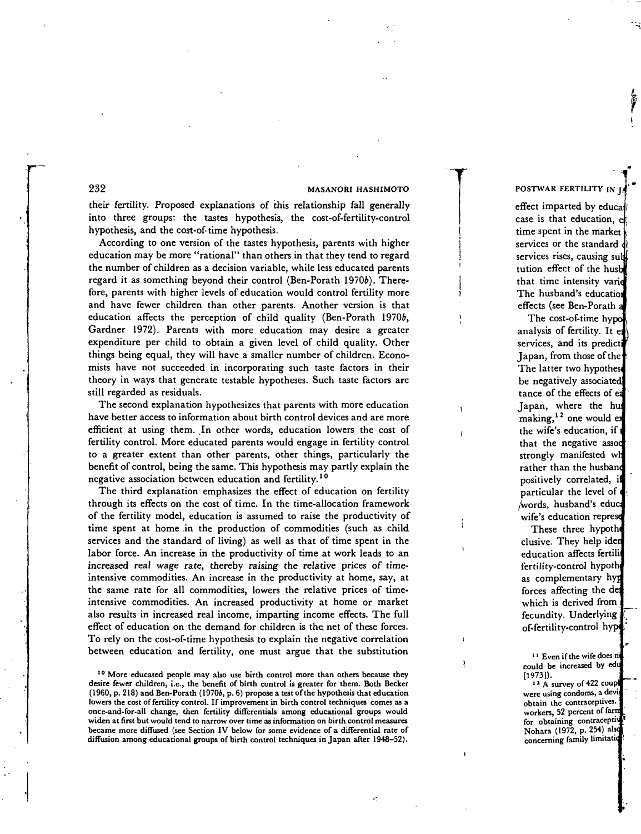### 232 MASANORI HASHIMOTO

×.

their fertility. Proposed explanations of this relationship fall generally into three groups: the tastes hypothesis, the cost-of-fertility-control hypothesis, and the cost-of-time hypothesis.

According to one version of the tastes hypothesis, parents with higher education may be more "rational" than others in that they tend to regard the number of children as a decision variable, while less educated parents regard it as something beyond their control (Ben-Porath 1970b). Therefore, parents with higher levels of education would control fertility more and have fewer children than other parents. Another version is that education affects the perception of child quality (Ben-Porath 1970b, Gardner 1972). Parents with more education may desire a greater expenditure per child to obtain a given level of child quality. Other things being equal, they will have a smaller number of children. Economists have not succeeded in incorporating such taste factors in their theory in ways that generate testable hypotheses. Such taste factors are still regarded as residuals.

The second explanation hypothesizes that parents with more education have better access to information about birth control devices and are more efficient at using them. In other words, education lowers the cost of fertility control. More educated parents would engage in fertility control to a greater extent than other parents, other things, particularly the benefit of control, being the same. This hypothesis may partly explain the negative association between education and fertility.<sup>10</sup>

The third explanation emphasizes the effect of education on fertility through its effects on the cost of time. In the time-allocation framework of the fertility model, education is assumed to raise the productivity of time spent at home in the production of commodities (such as child services and the standard of living) as well as that of time spent in the labor force. An increase in the productivity of time at work leads to an increased real wage rate, thereby raising the relative prices of timeintensive commodities. An increase in the productivity at home, say, at the same rate for all commodities, lowers the relative prices of timeintensive commodities. An increased productivity at home or market also results in increased real income, imparting income effects. The full effect of education on the demand for children is the net of these forces. To rely on the cost-of-time hypothesis to explain the negative correlation between education and fertility, one must argue that the substitution

<sup>10</sup> More educated people may also use birth control more than others because they desire fewer children, i.e., the benefit of birth control is greater for them. Both Becker (1960, P. 218) and Ben-Porath (1970b, p.6) propose a test of the hypothesis that education lowers the Cost of fertility control. If improvement in birth control techniques comes as a once-and-for-all change, then fertility differentials among educational groups would widen at first but would tend to narrow over time as information on birth control measures became more diffused (see Section IV below for some evidence of a differential rate of diffusion among educational groups of birth control techniques in Japan after 1948—52).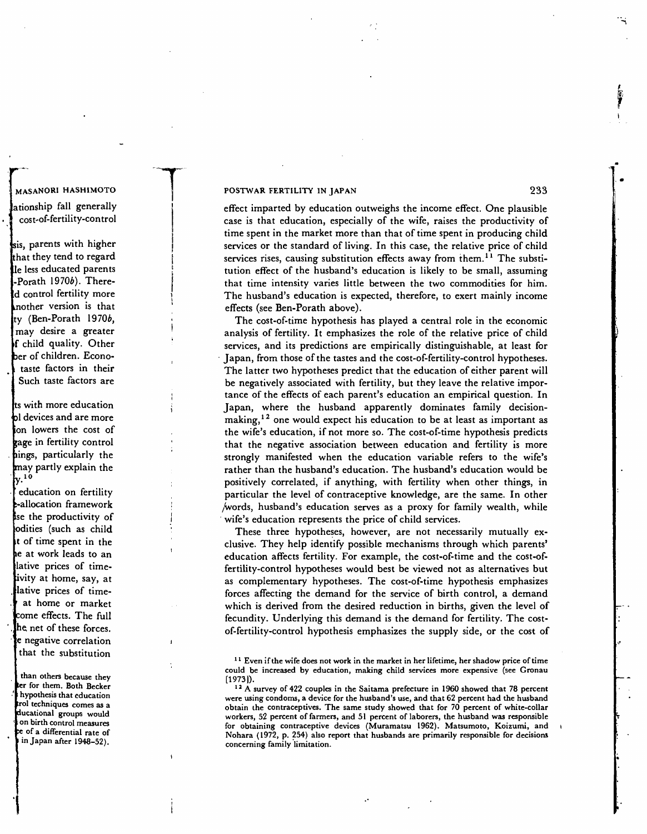effect imparted by education outweighs the income effect. One plausible case is that education, especially of the wife, raises the productivity of time spent in the market more than that of time spent in producing child services or the standard of living. In this case, the relative price of child services rises, causing substitution effects away from them.<sup>11</sup> The substitution effect of the husband's education is likely to be small, assuming that time intensity varies little between the two commodities for him. The husband's education is expected, therefore, to exert mainly income effects (see Ben-Porath above).

The cost-of-time hypothesis has played a central role in the economic analysis of fertility. It emphasizes the role of the relative price of child services, and its predictions are empirically distinguishable, at least for Japan, from those of the tastes and the cost-of-fertility-control hypotheses. The latter two hypotheses predict that the education of either parent will be negatively associated with fertility, but they leave the relative importance of the effects of each parent's education an empirical question. In Japan, where the husband apparently dominates family decisionmaking,<sup>12</sup> one would expect his education to be at least as important as the wife's education, if not more so. The cost-of-time hypothesis predicts that the negative association between education and fertility is more strongly manifested when the education variable refers to the wife's rather than the husband's education. The husband's education would be positively correlated, if anything, with fertility when other things, in particular the level of contraceptive knowledge, are the same. In other 14words, husband's education serves as a proxy for family wealth, while wife's education represents the price of child services.

These three hypotheses, however, are not necessarily mutually exclusive. They help identify possible mechanisms through which parents' education affects fertility. For example, the cost-of-time and the cost-offertility-control hypotheses would best be viewed not as alternatives but as complementary hypotheses. The cost-of-time hypothesis emphasizes forces affecting the demand for the service of birth control, a demand which is derived from the desired reduction in births, given the level of fecundity. Underlying this demand is the demand for fertility. The costof-fertility-control hypothesis emphasizes the supply side, or the cost of

 $\cdot$ 

 $11$  Even if the wife does not work in the market in her lifetime, her shadow price of time could be increased by education, making child services more expensive (see Gronau [1973]).<br> $12 A$  survey of 422 couples in the Saitama prefecture in 1960 showed that 78 percent

were using condoms, a device for the husband's use, and that 62 percent had the husband obtain the contraceptives. The same study showed that for 70 percent of white-collar workers, 52 percent of farmers, and 51 percent of laborers, the husband was responsible for obtaining contraceptive devices (Muramatsu 1962). Matsumoto, Koizumi, and Nohara (1972, p. 254) also report that husbands are primarily responsible for decisions concerning family limitation.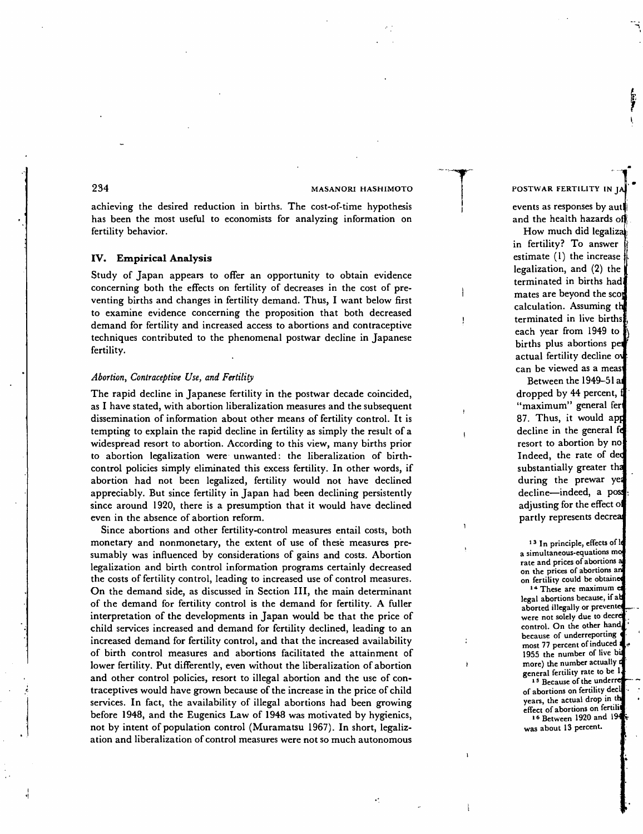×,

achieving the desired reduction in births. The cost-of-time hypothesis has been the most useful to economists for analyzing information on fertility behavior.

### IV. Empirical Analysis

Study of Japan appears to offer an opportunity to obtain evidence concerning both the effects on fertility of decreases in the cost of preventing births and changes in fertility demand. Thus, I want below first to examine evidence concerning the proposition that both decreased demand for fertility and increased access to abortions and contraceptive techniques contributed to the phenomenal postwar decline in Japanese fertility.

# Abortion, Contraceptive Use, and Fertility

The rapid decline in Japanese fertility in the postwar decade coincided, as I have stated, with abortion liberalization measures and the subsequent dissemination of information about other means of fertility control. It is tempting to explain the rapid decline in fertility as simply the result of a widespread resort to abortion. According to this view, many births prior to abortion legalization were unwanted: the liberalization of birthcontrol policies simply eliminated this excess fertility. In other words, if abortion had not been legalized, fertility would not have declined appreciably. But since fertility in Japan had been declining persistently since around 1920, there is a presumption that it would have declined even in the absence of abortion reform.

Since abortions and other fertility-control measures entail costs, both monetary and nonmonetary, the extent of use of these measures presumably was influenced by considerations of gains and costs. Abortion legalization and birth control information programs certainly decreased the costs of fertility control, leading to increased use of control measures. On the demand side, as discussed in Section III, the main determinant of the demand for fertility control is the demand for fertility. A fuller interpretation of the developments in Japan would be that the price of child services increased and demand for fertility declined, leading to an increased demand for fertility control, and that the increased availability of birth control measures and abortions facilitated the attainment of lower fertility. Put differently, even without the liberalization of abortion and other control policies, resort to illegal abortion and the use of contraceptives would have grown because of the increase in the price of child services. In fact, the availability of illegal abortions had been growing before 1948, and the Eugenics Law of 1948 was motivated by hygienics, not by intent of population control (Muramatsu 1967). In short, legalization and liberalization of control measures were not so much autonomous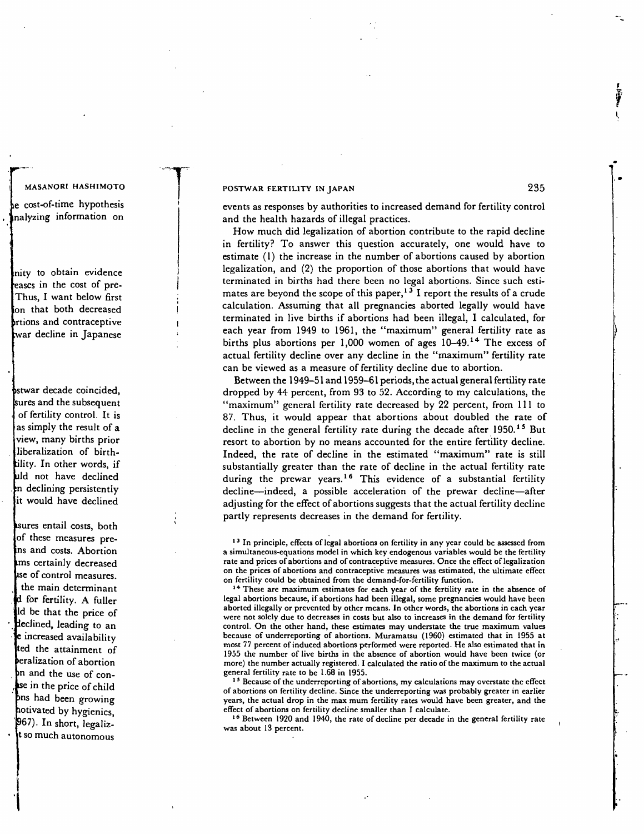events as responses by authorities to increased demand for fertility control and the health hazards of illegal practices.

How much did legalization of abortion contribute to the rapid decline in fertility? To answer this question accurately, one would have to estimate (1) the increase in the number of abortions caused by abortion legalization, and (2) the proportion of those abortions that would have terminated in births had there been no legal abortions. Since such estimates are beyond the scope of this paper,<sup>13</sup> I report the results of a crude calculation. Assuming that all pregnancies aborted legally would have terminated in live births if abortions had been illegal, I calculated, for each year from 1949 to 1961, the "maximum" general fertility rate as births plus abortions per 1,000 women of ages  $10-49$ .<sup>14</sup> The excess of actual fertility decline over any decline in the "maximum" fertility rate can be viewed as a measure of fertility decline due to abortion.

Between the 1949—5 1 and 1959—61 periods, the actual general fertility rate dropped by 44 percent, from 93 to 52. According to my calculations, the "maximum" general fertility rate decreased by 22 percent, from 111 to 87. Thus, it would appear that abortions about doubled the rate of decline in the general fertility rate during the decade after 1950.<sup>15</sup> But resort to abortion by no means accounted for the entire fertility decline. Indeed, the rate of decline in the estimated "maximum" rate is still substantially greater than the rate of decline in the actual fertility rate during the prewar years.<sup>16</sup> This evidence of a substantial fertility decline—indeed, a possible acceleration of the prewar decline—after adjusting for the effect of abortions suggests that the actual fertility decline partly represents decreases in the demand for fertility.

<sup>13</sup> In principle, effects of legal abortions on fertility in any year could be assessed from a simultaneous-equations model in which key endogenous variables would be the fertility rate and prices of abortions and of contraceptive measures. Once the effect of legalization on the prices of abortions and contraceptive measures was estimated, the ultimate effect on fertility could be obtained from the demand-for-fertility function.

<sup>14</sup> These are maximum estimates for each year of the fertility rate in the absence of legal abortions because, if abortions had been illegal, some pregnancies would have been aborted illegally or prevented by other means. In other words, the abortions in each year were not solely due to decreases in costs but also to increases in the demand for fertility control. On the other hand, these estimates may understate the true maximum values because of underreporting of abortions. Muramatsu (1960) estimated that in 1955 at most 77 percent of induced abortions performed were reported. He also estimated that in 1955 the number of live births in the absence of abortion would have been twice (or more) the number actually registered. I calculated the ratio of the maximum to the actual general fertility rate to be 1.68 in 1955.

<sup>15</sup> Because of the underreporting of abortions, my calculations may overstate the effect of abortions on fertility decline. Since the underreporting was probably greater in earlier years, the actual drop in the max mum fertility rates would have been greater, and the effect of abortions on fertility decline smaller than I calculate.

<sup>16</sup> Between 1920 and 1940, the rate of decline per decade in the general fertility rate was about 13 percent.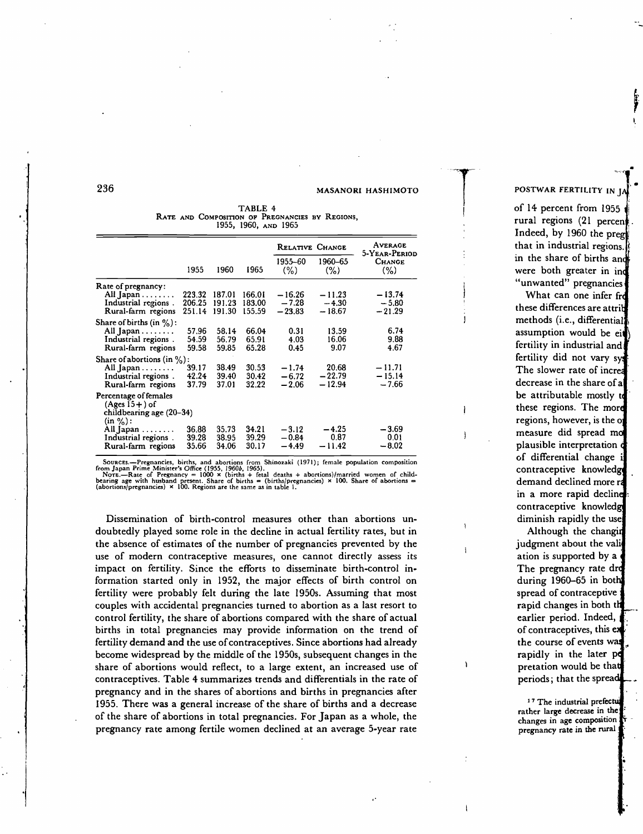$\cdot$ 

|                                                                      |        |        |        |                    | RELATIVE CHANGE   | AVERAGE<br>5-Year-Period |
|----------------------------------------------------------------------|--------|--------|--------|--------------------|-------------------|--------------------------|
|                                                                      | 1955   | 1960   | 1965   | 1955-60<br>$(\% )$ | 1960-65<br>$(\%)$ | <b>CHANGE</b><br>$(\% )$ |
| Rate of pregnancy:                                                   |        |        |        |                    |                   |                          |
| All Japan                                                            | 223.32 | 187.01 | 166.01 | $-16.26$           | $-11.23$          | $-13.74$                 |
| Industrial regions.                                                  | 206.25 | 191.23 | 183.00 | $-7.28$            | $-4.30$           | $-5.80$                  |
| Rural-farm regions                                                   | 251.14 | 191.30 | 155.59 | $-23.83$           | $-18.67$          | $-21.29$                 |
| Share of births (in $\%$ ):                                          |        |        |        |                    |                   |                          |
| All Japan                                                            | 57.96  | 58.14  | 66.04  | 0.31               | 13.59             | 6.74                     |
| Industrial regions.                                                  | 54.59  | 56.79  | 65.91  | 4.03               | 16.06             | 9.88                     |
| Rural-farm regions                                                   | 59.58  | 59.85  | 65.28  | 0.45               | 9.07              | 4.67                     |
| Share of abortions (in $\%$ ):                                       |        |        |        |                    |                   |                          |
|                                                                      | 39.17  | 38.49  | 30.53  | $-1.74$            | 20.68             | $-11.71$                 |
| Industrial regions.                                                  | 42.24  | 39.40  | 30.42  | $-6.72$            | $-22.79$          | $-15.14$                 |
| Rural-farm regions                                                   | 37.79  | 37.01  | 32.22  | $-2.06$            | $-12.94$          | $-7.66$                  |
| Percentage of females<br>$(Ages 15+)$ of<br>childbearing age (20-34) |        |        |        |                    |                   |                          |
| (in %):                                                              | 36.88  | 35.73  | 34.21  | $-3.12$            | $-4.25$           | $-3.69$                  |
| All Japan $\ldots \ldots$<br>Industrial regions.                     | 39.28  | 38.95  | 39.29  | $-0.84$            | 0.87              | 0.01                     |
| Rural-farm regions                                                   | 35.66  | 34.06  | 30.17  | $-4.49$            | $-11.42$          | $-8.02$                  |
|                                                                      |        |        |        |                    |                   |                          |

TABLE 4 RATE AND COMPOSITION OF PREGNANCIES BY REGIoNs, 1955, 1960, AND 1965

Sources.—Pregnancies, births, and abortions from Shinozaki (1971); female population composition<br>from Japan Prime Minister's Office (1955, 1960b, 1965).<br>Nors.—Rate of Pregnancy = 1000 × (births + fetal deaths + abortions)

Dissemination of birth-control measures other than abortions undoubtedly played some role in the decline in actual fertility rates, but in the absence of estimates of the number of pregnancies prevented by the use of modern contraceptive measures, one cannot directly assess its impact on fertility. Since the efforts to disseminate birth-control information started only in 1952, the major effects of birth control on fertility were probably felt during the late 1950s. Assuming that most couples with accidental pregnancies turned to abortion as a last resort to control fertility, the share of abortions compared with the share of actual births in total pregnancies may provide information on the trend of fertility demand and the use of contraceptives. Since abortions had already become widespread by the middle of the l950s, subsequent changes in the share of abortions would reflect, to a large extent, an increased use of contraceptives. Table 4 summarizes trends and differentials in the rate of pregnancy and in the shares of abortions and births in pregnancies after 1955. There was a general increase of the share of births and a decrease of the share of abortions in total pregnancies. For Japan as a whole, the pregnancy rate among fertile women declined at an average 5-year rate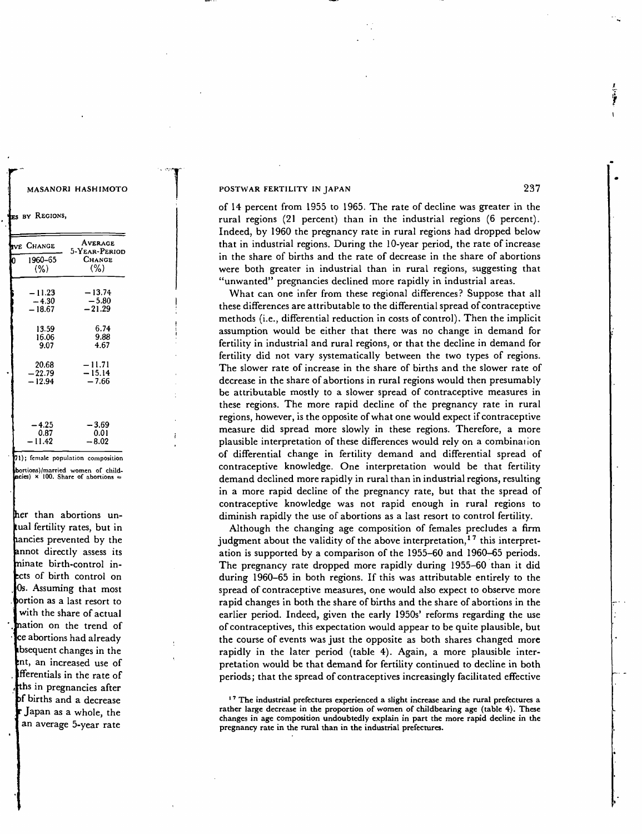of 14 percent from 1955 to 1965. The rate of decline was greater in the rural regions (21 percent) than in the industrial regions (6 percent). Indeed, by 1960 the pregnancy rate in rural regions had dropped below that in industrial regions. During the 10-year period, the rate of increase in the share of births and the rate of decrease in the share of abortions were both greater in industrial than in rural regions, suggesting that "unwanted" pregnancies declined more rapidly in industrial areas.

What can one infer from these regional differences? Suppose that all these differences are attributable to the differential spread of contraceptive methods (i.e., differential reduction in costs of control). Then the implicit assumption would be either that there was no change in demand for fertility in industrial and rural regions, or that the decline in demand for fertility did not vary systematically between the two types of regions. The slower rate of increase in the share of births and the slower rate of decrease in the share of abortions in rural regions would then presumably be attributable mostly to a slower spread of contraceptive measures in these regions. The more rapid decline of the pregnancy rate in rural regions, however, is the opposite of what one would expect if contraceptive measure did spread more slowly in these regions. Therefore, a more plausible interpretation of these differences would rely on a combination of differential change in fertility demand and differential spread of contraceptive knowledge. One interpretation would be that fertility demand declined more rapidly in rural than in industrial regions, resulting in a more rapid decline of the pregnancy rate, but that the spread of contraceptive knowledge was not rapid enough in rural regions to diminish rapidly the use of abortions as a last resort to control fertility.

Although the changing age composition of females precludes a firm judgment about the validity of the above interpretation,<sup>17</sup> this interpretation is supported by a comparison of the 1955—60 and 1960—65 periods. The pregnancy rate dropped more rapidly during 1955—60 than it did during 1960—65 in both regions. If this was attributable entirely to the spread of contraceptive measures, one would also expect to observe more rapid changes in both the share of births and the share of abortions in the earlier period. Indeed, given the early 1950s' reforms regarding the use of contraceptives, this expectation would appear to be quite plausible, but the course of events was just the opposite as both shares changed more rapidly in the later period (table 4). Again, a more plausible interpretation would be that demand for fertility continued to decline in both periods; that the spread of contraceptives increasingly facilitated effective

<sup>&</sup>lt;sup>17</sup> The industrial prefectures experienced a slight increase and the rural prefectures a rather large decrease in the proportion of women of childbearing age (table 4). These changes in age composition undoubtedly explain in part the more rapid decline in the pregnancy rate in the rural than in the industrial prefectures.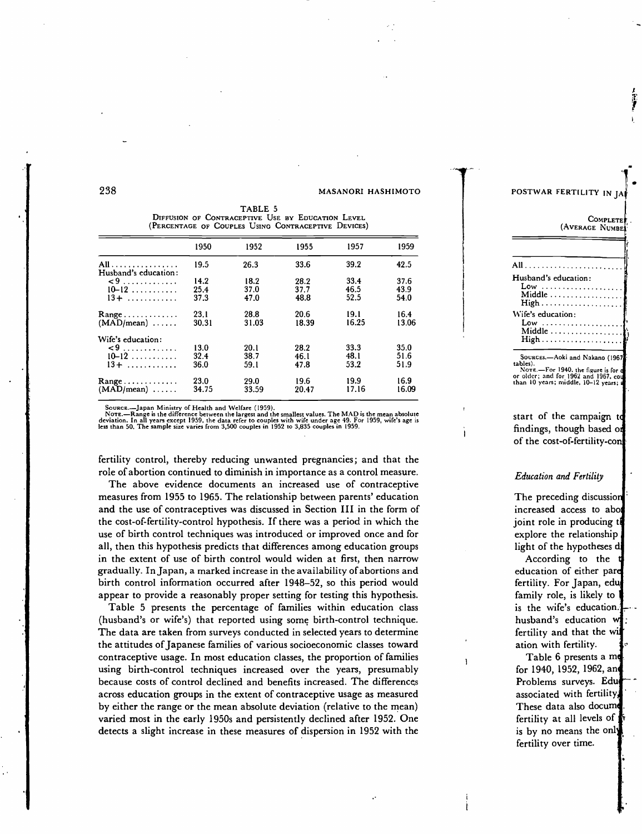$\ddot{\phantom{0}}$ 

|                                                                         | 1950                 | 1952                 | 1955                 | 1957                 | 1959                 |
|-------------------------------------------------------------------------|----------------------|----------------------|----------------------|----------------------|----------------------|
| All<br>Husband's education:                                             | 19.5                 | 26.3                 | 33.6                 | 39.2                 | 42.5                 |
| $\leq 9$<br>$10-12$<br>$13 +   $                                        | 14.2<br>25.4<br>37.3 | 18.2<br>37.0<br>47.0 | 28.2<br>37.7<br>48.8 | 33.4<br>46.5<br>52.5 | 37.6<br>43.9<br>54.0 |
| Range<br>$(MAD/mean) \dots \dots$                                       | 23.1<br>30.31        | 28.8<br>31.03        | 20.6<br>18.39        | 19.1<br>16.25        | 16.4<br>13.06        |
| Wife's education:<br>$\leq 9$<br>$10-12$<br>$13 + \ldots \ldots \ldots$ | 13.0<br>32.4<br>36.0 | 20.1<br>38.7<br>59.1 | 28.2<br>46.1<br>47.8 | 33.3<br>48.1<br>53.2 | 35.0<br>51.6<br>51.9 |
| $Range \ldots \ldots \ldots$<br>$(MAD/mean)$                            | 23.0<br>34.75        | 29.0<br>33.59        | 19.6<br>20.47        | 19.9<br>17.16        | 16.9<br>16.09        |
|                                                                         |                      |                      |                      |                      |                      |

TABLE 5 DIFFUSION OF CONTRACEPTIVE USE BY EDUCATION LEvEL (PERCENTAGE OF COUPLES USING CONTRACEPTIVE DEVICES)

Source.—Japan Ministry of Health and Welfare (1959).<br>NOTE.—Range is the difference between the largest and the smallest values. The MAD is the mean absolute<br>deviation. In all years except 1959, the data refer to couples wi

fertility control, thereby reducing unwanted pregnancies; and that the role of abortion continued to diminish in importance as a control measure.

The above evidence documents an increased use of contraceptive measures from 1955 to 1965. The relationship between parents' education and the use of contraceptives was discussed in Section III in the form of the cost-of-fertility-control hypothesis. If there was a period in which the use of birth control techniques was introduced or improved once and for all, then this hypothesis predicts that differences among education groups in the extent of use of birth control would widen at first, then narrow gradually. In Japan, a marked increase in the availability of abortions and birth control information occurred after 1948—52, so this period would appear to provide a reasonably proper setting for testing this hypothesis.

Table 5 presents the percentage of families within education class (husband's or wife's) that reported using some birth-control technique. The data are taken from surveys conducted in selected years to determine the attitudes of Japanese families of various socioeconomic classes toward contraceptive usage. In most education classes, the proportion of families using birth-control techniques increased over the years, presumably because costs of control declined and benefits increased. The differences across education groups in the extent of contraceptive usage as measured by either the range or the mean absolute deviation (relative to the mean) varied most in the early 1950s and persistently declined after 1952. One detects a slight increase in these measures of dispersion in 1952 with the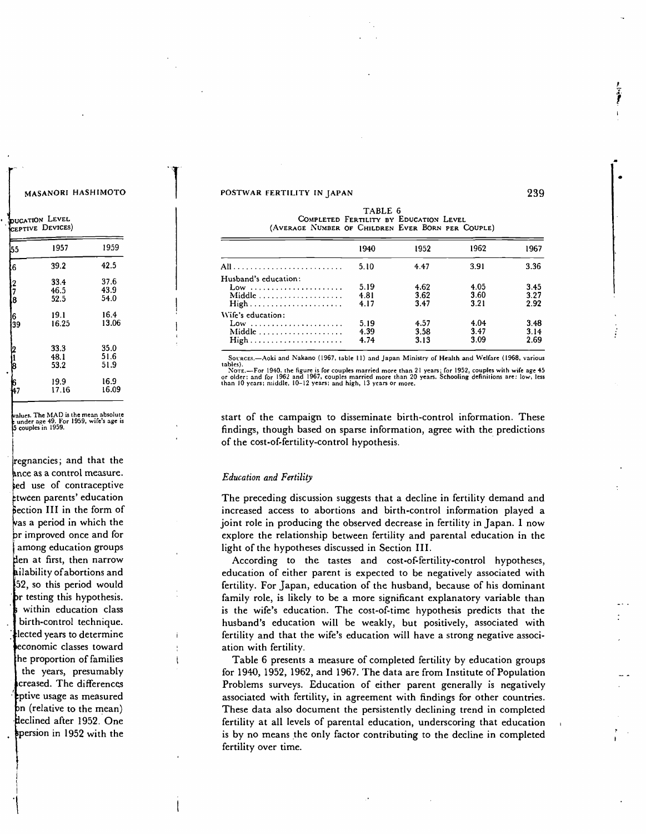# POS<sup>'</sup> POSTWAR FERTILITY IN JAPAN

| POSTWAR FERTILITY IN JAPAN                                                                                                                             |              |                                        |                                                                          | 239                                                                   |
|--------------------------------------------------------------------------------------------------------------------------------------------------------|--------------|----------------------------------------|--------------------------------------------------------------------------|-----------------------------------------------------------------------|
| (AVERAGE NUMBER OF CHILDREN EVER BORN PER COUPLE)                                                                                                      | TABLE 6      | COMPLETED FERTILITY BY EDUCATION LEVEL |                                                                          |                                                                       |
|                                                                                                                                                        | 1940         | 1952                                   | 1962                                                                     | 1967                                                                  |
|                                                                                                                                                        | 5.10         | 447                                    | 3.91                                                                     | 3.36                                                                  |
| Husband's education:                                                                                                                                   |              |                                        |                                                                          |                                                                       |
| Low                                                                                                                                                    | 5.19         | 4.62<br>3.62                           | 4.05<br>3.60                                                             | 3.45<br>3.27                                                          |
|                                                                                                                                                        | 4.81<br>4.17 | 3.47                                   | 3.21                                                                     | 2.92                                                                  |
| Wife's education:                                                                                                                                      |              |                                        |                                                                          |                                                                       |
| Middle                                                                                                                                                 | 5.19<br>4.39 | 4.57<br>3.58                           | 4.04<br>3.47                                                             | 3.48<br>3.14                                                          |
|                                                                                                                                                        | 4.74         | 3.13                                   | 3.09                                                                     | 2.69                                                                  |
|                                                                                                                                                        |              |                                        | findings, though based on sparse information, agree with the predictions |                                                                       |
| of the cost-of-fertility-control hypothesis.                                                                                                           |              |                                        |                                                                          |                                                                       |
| <b>Education and Fertility</b>                                                                                                                         |              |                                        |                                                                          | start of the campaign to disseminate birth-control information. These |
| The preceding discussion suggests that a decline in fertility demand and                                                                               |              |                                        |                                                                          |                                                                       |
| increased access to abortions and birth-control information played a                                                                                   |              |                                        |                                                                          |                                                                       |
| joint role in producing the observed decrease in fertility in Japan. I now<br>explore the relationship between fertility and parental education in the |              |                                        |                                                                          |                                                                       |
| light of the hypotheses discussed in Section III.                                                                                                      |              |                                        |                                                                          |                                                                       |
| According to the tastes and cost-of-fertility-control hypotheses,                                                                                      |              |                                        |                                                                          |                                                                       |
| education of either parent is expected to be negatively associated with                                                                                |              |                                        |                                                                          |                                                                       |
| fertility. For Japan, education of the husband, because of his dominant                                                                                |              |                                        |                                                                          |                                                                       |
| family role, is likely to be a more significant explanatory variable than                                                                              |              |                                        |                                                                          |                                                                       |
| is the wife's education. The cost-of-time hypothesis predicts that the                                                                                 |              |                                        |                                                                          |                                                                       |
| husband's education will be weakly, but positively, associated with                                                                                    |              |                                        |                                                                          |                                                                       |
| fertility and that the wife's education will have a strong negative associ-                                                                            |              |                                        |                                                                          |                                                                       |
| ation with fertility.                                                                                                                                  |              |                                        |                                                                          |                                                                       |
| Table 6 presents a measure of completed fertility by education groups                                                                                  |              |                                        |                                                                          |                                                                       |
| for 1940, 1952, 1962, and 1967. The data are from Institute of Population                                                                              |              |                                        |                                                                          |                                                                       |
| Problems surveys. Education of either parent generally is negatively<br>associated with fertility, in agreement with findings for other countries.     |              |                                        |                                                                          |                                                                       |
| These data also document the persistently declining trend in completed                                                                                 |              |                                        |                                                                          |                                                                       |
| fertility at all levels of parental education, underscoring that education                                                                             |              |                                        |                                                                          |                                                                       |
| is by no means the only factor contributing to the decline in completed                                                                                |              |                                        |                                                                          |                                                                       |

TABLE 6 COMPLETED FERTILITY BY EDUCATION LEVEL (AVERAGE NUMBER OF CHILDREN EVER BORN PER COUPLE)

#### Education and Fertility

ò,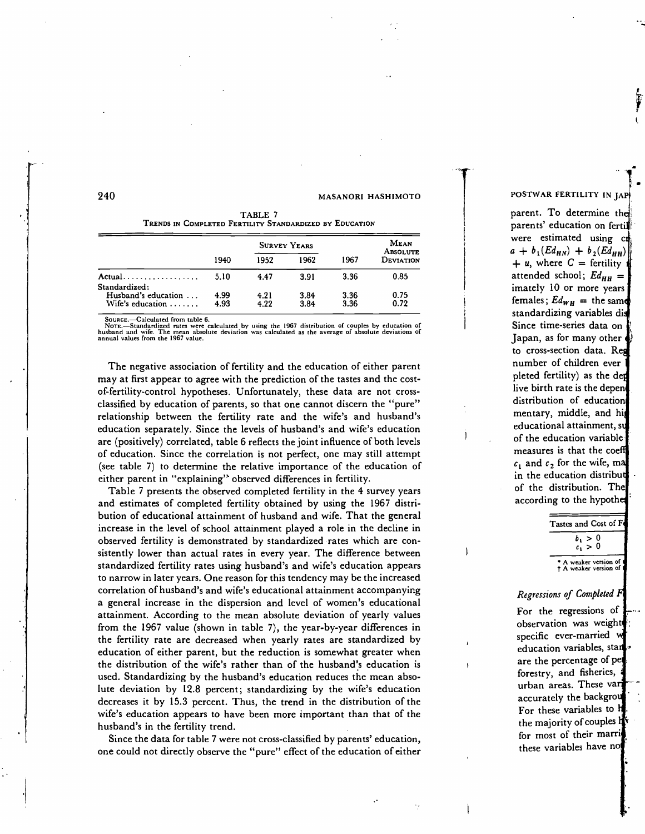$\ddotsc$ 

÷

|                           |      | <b>SURVEY YEARS</b> |      |      | MEAN<br>Absolute |
|---------------------------|------|---------------------|------|------|------------------|
|                           | 1940 | 1952                | 1962 | 1967 | DEVIATION        |
| Actual                    | 5.10 | 4.47                | 3.91 | 3.36 | 0.85             |
| Standardized:             |      |                     |      |      |                  |
| Husband's education       | 4.99 | 4.21                | 3.84 | 3.36 | 0.75             |
| Wife's education $\ldots$ | 4.93 | 4.22                | 3.84 | 3.36 | 0.72             |

TABLE 7 TRENDS IN COMPLETED FERTILITY STANDARDIZED BY EDUCATION

Nore...—Standardized rates were calculated by using the 1967 distribution of couples by education of<br>husband and wife. The mean absolute deviation was calculated as the average of absolute deviations of<br>annual values from

The negative association of fertility and the education of either parent may at first appear to agree with the prediction of the tastes and the costof-fertility-control hypotheses. Unfortunately, these data are not crossclassified by education of parents, so that one cannot discern the "pure" relationship between the fertility rate and the wife's and husband's education separately. Since the levels of husband's and wife's education are (positively) correlated, table 6 reflects the joint influence of both levels of education. Since the correlation is not perfect, one may still attempt (see table 7) to determine the relative importance of the education of either parent in "explaining" observed differences in fertility.

Table 7 presents the observed completed fertility in the 4 survey years and estimates of completed fertility obtained by using the 1967 distribution of educational attainment of husband and wife. That the general increase in the level of school attainment played a role in the decline in observed fertility is demonstrated by standardized rates which are consistently lower than actual rates in every year. The difference between standardized fertility rates using husband's and wife's education appears to narrow in later years. One reason for this tendency may be the increased correlation of husband's and wife's educational attainment accompanying a general increase in the dispersion and level of women's educational attainment. According to the mean absolute deviation of yearly values from the 1967 value (shown in table 7), the year-by-year differences in the fertility rate are decreased when yearly rates are standardized by education of either parent, but the reduction is somewhat greater when the distribution of the wife's rather than of the husband's education is used. Standardizing by the husband's education reduces the mean absolute deviation by 12.8 percent; standardizing by the wife's education decreases it by 15.3 percent. Thus, the trend in the distribution of the wife's education appears to have been more important than that of the husband's in the fertility trend.

Since the data for table 7 were not cross-classified by parents' education, one could not directly observe the "pure" effect of the education of either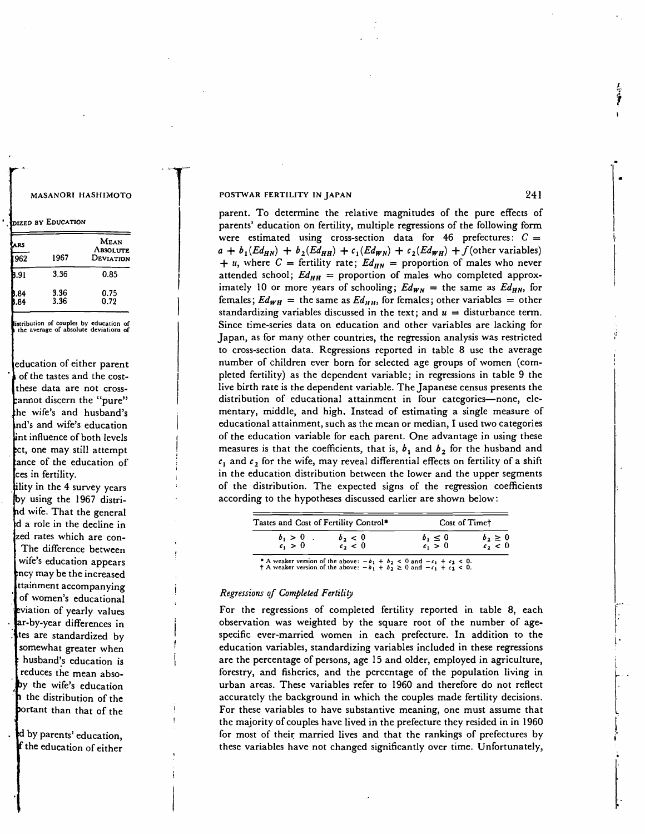parent. To determine the relative magnitudes of the pure effects of parents' education on fertility, multiple regressions of the following form were estimated using cross-section data for 46 prefectures:  $C =$  $a + b_1(Ed_{HN}) + b_2(Ed_{HH}) + c_1(Ed_{WN}) + c_2(Ed_{WH}) + f$ (other variables) + u, where  $C =$  fertility rate;  $Ed_{HN} =$  proportion of males who never attended school;  $Ed_{HH}$  = proportion of males who completed approximately 10 or more years of schooling;  $Ed_{WN}$  = the same as  $Ed_{HN}$ , for females;  $Ed_{WH}$  = the same as  $Ed_{HH}$ , for females; other variables = other standardizing variables discussed in the text; and  $u =$  disturbance term. Since time-series data on education and other variables are lacking for Japan, as for many other countries, the regression analysis was restricted to cross-section data. Regressions reported in table 8 use the average number of children ever born for selected age groups of women (completed fertility) as the dependent variable; in regressions in table 9 the live birth rate is the dependent variable. The Japanese census presents the distribution of educational attainment in four categories—none, elementary, middle, and high. Instead of estimating a single measure of educational attainment, such as the mean or median, I used two categories of the education variable for each parent. One advantage in using these measures is that the coefficients, that is,  $b_1$  and  $b_2$  for the husband and  $c_1$  and  $c_2$  for the wife, may reveal differential effects on fertility of a shift in the education distribution between the lower and the upper segments of the distribution. The expected signs of the regression coefficients according to the hypotheses discussed earlier are shown below:

| Tastes and Cost of Fertility Control* |                                                                                                                                                        |                           | Cost of Timet                   |
|---------------------------------------|--------------------------------------------------------------------------------------------------------------------------------------------------------|---------------------------|---------------------------------|
| $b_1 > 0$ .<br>$c_1 > 0$              | $b_{2}$ < 0<br>$c_2 < 0$                                                                                                                               | $b_1 \leq 0$<br>$c_1 > 0$ | $b_2\geq 0$<br>$\epsilon_2 < 0$ |
|                                       | * A weaker version of the above: $-b_1 + b_2 < 0$ and $-c_1 + c_2 < 0$ .<br>† A weaker version of the above: $-b_1 + b_2 \ge 0$ and $-c_1 + c_2 < 0$ . |                           |                                 |

## Regressions of Completed Fertility

For the regressions of completed fertility reported in table 8, each observation was weighted by the square root of the number of agespecific ever-married women in each prefecture. In addition to the education variables, standardizing variables included in these regressions are the percentage of persons, age 15 and older, employed in agriculture, forestry, and fisheries, and the percentage of the population living in urban areas. These variables refer to 1960 and therefore do not reflect accurately the background in which the couples made fertility decisions. For these variables to have substantive meaning, one must assume that the majority of couples have lived in the prefecture they resided in in 1960 for most of their married lives and that the rankings of prefectures by these variables have not changed significantly over time. Unfortunately,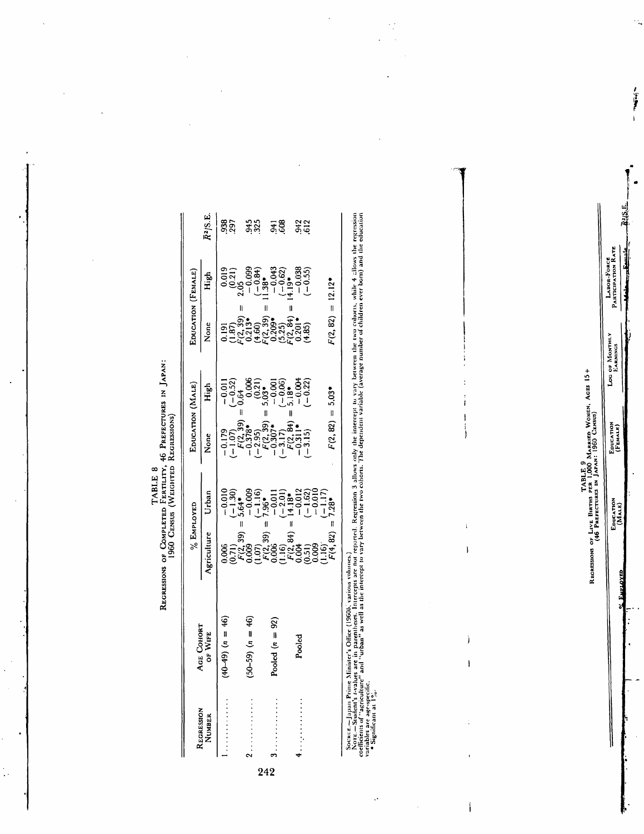|         | EGRESSIONS OF COMPLETED FERTILITY, 46 PREFECTURES IN JAPAN | 1960 CENSUS (WEIGHTED REGRESSION |
|---------|------------------------------------------------------------|----------------------------------|
| TABLE 8 |                                                            |                                  |
|         |                                                            |                                  |
|         |                                                            |                                  |
|         |                                                            |                                  |

| $\begin{array}{c} (187) \\ F(2,39) \\ 0.213* \end{array}$<br>$(F(2, 39)$<br>$F(2, 39)$<br>0.209*<br>None<br>0.191<br>$\begin{bmatrix} 0.006 \\ 0.21 \\ 5.03* \end{bmatrix}$<br>$-0.52$<br>$-0.52$<br>$0.64$<br>EDUCATION (MALE)<br>High<br>$\mathbf{I}$<br>$-0.179$<br>$(-1.07)$<br>$F(2, 39)$<br>$-0.378$ *<br>$(-2.95)$<br>None<br>$-0.009$<br>$-0.010$<br>$(-1.30)$<br>5.64*<br>$(-1.16)$<br>$-0.011$<br>Urban<br>$7.96*$<br>$\%$ Емрlотер<br>ij<br>F(2, 39)<br>39)<br>Agriculture<br>0.009<br>0.006<br>0.006<br>$\frac{(0.71)}{F(2)}$<br>(1.07)<br>$(50-59) (n = 46)$<br>$\widehat{\mathfrak{s}}$<br>Pooled $(n = 92)$<br>AGE COHORT<br>$(40-49)$ $(n =$<br>OF WIFE<br>$\bullet$<br>REGRESSION<br>NUMBER<br>$\bullet$<br>$\bullet$<br>$\sim$<br>$\sim$<br>- |                                                                                                                                        |                  |
|-----------------------------------------------------------------------------------------------------------------------------------------------------------------------------------------------------------------------------------------------------------------------------------------------------------------------------------------------------------------------------------------------------------------------------------------------------------------------------------------------------------------------------------------------------------------------------------------------------------------------------------------------------------------------------------------------------------------------------------------------------------------|----------------------------------------------------------------------------------------------------------------------------------------|------------------|
| 242                                                                                                                                                                                                                                                                                                                                                                                                                                                                                                                                                                                                                                                                                                                                                             | EDUCATION (FEMALE)<br>High                                                                                                             | $\bar{R}^2$ /S.E |
|                                                                                                                                                                                                                                                                                                                                                                                                                                                                                                                                                                                                                                                                                                                                                                 | <b>938</b><br>0.019<br>(0.21)<br>2.05<br>$\overline{\phantom{a}}$                                                                      |                  |
|                                                                                                                                                                                                                                                                                                                                                                                                                                                                                                                                                                                                                                                                                                                                                                 | 335<br>$-941$<br>$-0.099$<br>$(-8.0 -)$<br>$-0.043$<br>$11.38*$<br>$\mathbf{I}$                                                        |                  |
| (4.85)<br>$-0.001$<br>$(-0.06)$<br>5.18*<br>$-0.004$<br>$(-0.22)$<br>II<br>$\begin{pmatrix} 7.39 \\ -7.39 \\ -1.307 \\ -2.307 \\ -2.17 \\ -2.317 \\ -0.311 \\ -0.311 \\ -1.519 \end{pmatrix}$<br>$(-2.01)$<br>14.18*<br>$-0.012$<br>$\overline{1}$<br>f<br>84)<br>$(1.16)$<br>$F(2,$<br>Pooled<br>4                                                                                                                                                                                                                                                                                                                                                                                                                                                             | 809<br>342<br>0.038<br>$(-0.62)$<br>14.19*<br>$(-0.55)$<br>$\mathbf{I}$<br>$\begin{array}{c} (5.25) \\ F(2, 84) \\ 0.201* \end{array}$ |                  |
| F(2, 82)<br>$5.03*$<br>$\mathbf{I}$<br>F(2, 82)<br>$(-1.62)$<br>$-0.010$<br>$(-1.7)$<br>7.28*<br>$\mathbf l$<br>$\begin{array}{c} 0.004 \ 0.51 \ 0.009 \ 1.16 \ 1.16 \end{array}$                                                                                                                                                                                                                                                                                                                                                                                                                                                                                                                                                                               | $= 12.12*$                                                                                                                             |                  |
|                                                                                                                                                                                                                                                                                                                                                                                                                                                                                                                                                                                                                                                                                                                                                                 |                                                                                                                                        |                  |
| Socver.—Japan Prime Minister's Office (1960), various volumes)<br>Norr.—Sudent's revalues are in parentheses. Intercepts are not reported. Regression 3 allows only the intercept to vary between the two cohorts, while 4 allows                                                                                                                                                                                                                                                                                                                                                                                                                                                                                                                               |                                                                                                                                        |                  |
|                                                                                                                                                                                                                                                                                                                                                                                                                                                                                                                                                                                                                                                                                                                                                                 |                                                                                                                                        |                  |
|                                                                                                                                                                                                                                                                                                                                                                                                                                                                                                                                                                                                                                                                                                                                                                 |                                                                                                                                        |                  |

 $\ddot{\phantom{a}}$ 

 $\ddot{\phantom{0}}$ 

 $\ddot{\phantom{0}}$ 

l,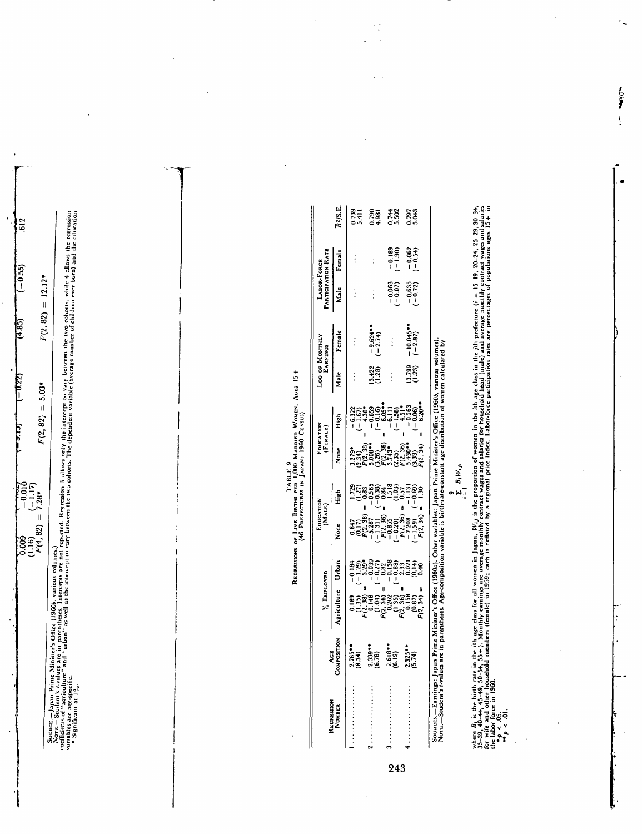|                                                                                                                                                                                                                                                   |                           |                                                                                                                |                                                           |                                                            | (46 PREFECTURES IN JAPAN: 1960 CENSUS)<br>TABLE 9 |                                               | REGRESSIONS OF LIVE BIRTHS PER 1,000 MARRIED WOMEN, AGES 15+              |                                                 |                            |                       |                       |                |
|---------------------------------------------------------------------------------------------------------------------------------------------------------------------------------------------------------------------------------------------------|---------------------------|----------------------------------------------------------------------------------------------------------------|-----------------------------------------------------------|------------------------------------------------------------|---------------------------------------------------|-----------------------------------------------|---------------------------------------------------------------------------|-------------------------------------------------|----------------------------|-----------------------|-----------------------|----------------|
| REGRESSION                                                                                                                                                                                                                                        |                           | % EMPLOYED                                                                                                     |                                                           | EDUCATION<br>(MME)                                         |                                                   |                                               | EDUCATION<br>(FEMALE)                                                     |                                                 | LOG OF MONTHLY<br>EARNINGS | LABOR-FORCE           | PARTICIPATION RATE    |                |
| NUMBER                                                                                                                                                                                                                                            | <b>ZOMPOSITION</b><br>ÄGE | Agriculture                                                                                                    | Urban                                                     | None                                                       | High                                              | None                                          | High                                                                      | Male                                            | Female                     | Male                  | Female                | R2/S.E.        |
| $\vdots$                                                                                                                                                                                                                                          | 2.765<br>(8.34)           | 0.189<br>F(2, 38)                                                                                              | $(-1, 29)$<br>$-0.184$                                    | $0.647$<br>$(0.17)$<br>$F(2.38)$<br>- 5.287                | $1.729$<br>$-2.59$<br>$-0.83$                     | $3.279*$                                      | $-6.322$<br>$(-1.67)$                                                     | $\vdots$                                        | $\vdots$                   | $\vdots$              | $\vdots$              | 0.739<br>5.411 |
| $2 \ldots$                                                                                                                                                                                                                                        | 2.339<br>(6.78)           | I)<br>$\mathbf{u}$<br>(1.04)<br>0.148                                                                          | $-0.039$<br>$(-\frac{52}{30})$                            | $\frac{-1.31}{F(2,36)}$<br>$-0.855$                        | $-0.38$<br>$-0.38$<br>$-$<br>$-$<br>II.           | $(2.34)$<br>$(2.30)$<br>$(5.00)$<br>$(3.36)$  | $-0.59$<br>$(-0.16)$<br>$\mathbf{I}$                                      | $\frac{13.422}{(1.28)}$                         | 9.624<br>$(-2.74)$         | $\vdots$              | $\vdots$              | 0.790<br>4.981 |
| .<br>$\ddot{\cdot}$<br>S                                                                                                                                                                                                                          | 2.618<br>(6.12)           | 2,362<br>0.262<br>(1.35)<br>F(2,                                                                               | $-0.138$<br>$(-0.88)$                                     | $\tilde{c}_3$                                              | 1585<br>1595<br>1595                              | 96)<br>F(2,                                   | 6.05<br>$(-1.58)$<br>= 4.5.1<br>$-6.111$<br>$\mathbf{0}$                  | $\vdots$                                        | $\vdots$                   | $-0.063$<br>$(-0.07)$ | $-0.189$<br>$(-1.90)$ | 5.502<br>0.744 |
|                                                                                                                                                                                                                                                   | $2.325$<br>(5.74)         | 1<br>0.158<br>F(2, 34)<br>F(2, 36)                                                                             | 0.021<br>$\begin{array}{c} 2.4 \\ 0.4 \\ 0.0 \end{array}$ | $F(2, 36)$<br>$-7.208$<br>F(2, 34)<br>1.59<br>$\mathbf{I}$ | m<br>T<br>$(-1.30)$<br>8<br>I                     | 3.743*<br>0.353<br>0.3533<br>0.3333<br>0.3334 | 6.20<br>$-0.263$<br>$(-0.06)$<br>$\mathbf{I}$<br>$\mathfrak l\mathfrak l$ | $\begin{array}{c} 13.799 \\ (1.23) \end{array}$ | $-10.045$<br>$( -2.87)$    | $-0.635$<br>$(-0.72)$ | $-0.54$<br>$(-0.54)$  | 5.043<br>0.797 |
| NorE.—Sudent's l'values are in parentheses. Age-composition variable is birth-rate-constant age distribution of women calculated by<br>Sounces.-Earnings: J                                                                                       |                           | apan Prime Minister's Office (1960a). Other variables: Japan Prime Minister's Office (1960b, various volumes). |                                                           |                                                            |                                                   |                                               |                                                                           |                                                 |                            |                       |                       |                |
|                                                                                                                                                                                                                                                   |                           |                                                                                                                |                                                           |                                                            | $\mathbf{w}_1$                                    | $B_i W_{ij}$                                  |                                                                           |                                                 |                            |                       |                       |                |
| where B <sub>1</sub> is the birth rate in the ith age class for all women in Japan, W <sub>1</sub> is the proportion of women in the ith age class in the ith prefecture (i = 15-19, 20-24, 25-29, 30-34, 36-24, 25-29, 30-34, 36-34, 36-34, 36-3 |                           |                                                                                                                |                                                           |                                                            |                                                   |                                               |                                                                           |                                                 |                            |                       |                       |                |
|                                                                                                                                                                                                                                                   |                           |                                                                                                                |                                                           |                                                            |                                                   |                                               |                                                                           |                                                 |                            |                       |                       |                |
| $\epsilon$                                                                                                                                                                                                                                        |                           |                                                                                                                |                                                           |                                                            |                                                   |                                               |                                                                           |                                                 |                            |                       |                       |                |

243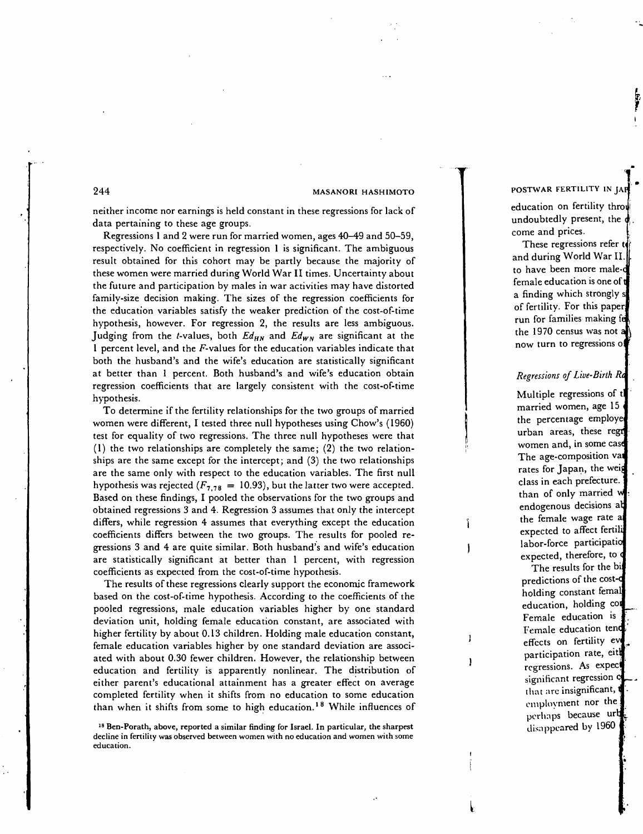..

neither income nor earnings is held constant in these regressions for lack of data pertaining to these age groups.

Regressions 1 and 2 were run for married women, ages 40-49 and 50—59, respectively. No coefficient in regression 1 is significant. The ambiguous result obtained for this cohort may be partly because the majority of these women were married during World War II times. Uncertainty about the future and participation by males in war activities may have distorted family-size decision making. The sizes of the regression coefficients for the education variables satisfy the weaker prediction of the cost-of-time hypothesis, however. For regression 2, the results are less ambiguous. Judging from the *t*-values, both  $Ed_{HN}$  and  $Ed_{WN}$  are significant at the 1 percent level, and the F-values for the education variables indicate that both the husband's and the wife's education are statistically significant at better than <sup>1</sup> percent. Both husband's and wife's education obtain regression coefficients that are largely consistent with the cost-of-time hypothesis.

To determine if the fertility relationships for the two groups of married women were different, I tested three null hypotheses using Chow's (1960) test for equality of two regressions. The three null hypotheses were that (1) the two relationships are completely the same; (2) the two relationships are the same except for the intercept; and (3) the two relationships are the same only with respect to the education variables. The first null hypothesis was rejected ( $F_{7,78} = 10.93$ ), but the latter two were accepted. Based on these findings, I pooled the observations for the two groups and obtained regressions 3 and 4. Regression 3 assumes that only the intercept differs, while regression 4 assumes that everything except the education coefficients differs between the two groups. The results for pooled regressions 3 and 4 are quite similar. Both husband's and wife's education are statistically significant at better than <sup>1</sup> percent, with regression coefficients as expected from the cost-of-time hypothesis.

The results of these regressions clearly support the economic framework based on the cost-of-time hypothesis. According to the coefficients of the pooled regressions, male education variables higher by one standard deviation unit, holding female education constant, are associated with higher fertility by about 0.13 children. Holding male education constant, female education variables higher by one standard deviation are associated with about 0.30 fewer children. However, the relationship between education and fertility is apparently nonlinear. The distribution of either parent's educational attainment has a greater effect on average completed fertility when it shifts from no education to some education than when it shifts from some to high education.<sup>18</sup> While influences of

<sup>18</sup> Ben-Porath, above, reported a similar finding for Israel. In particular, the sharpest decline in fertility was observed between women with no education and women with some education.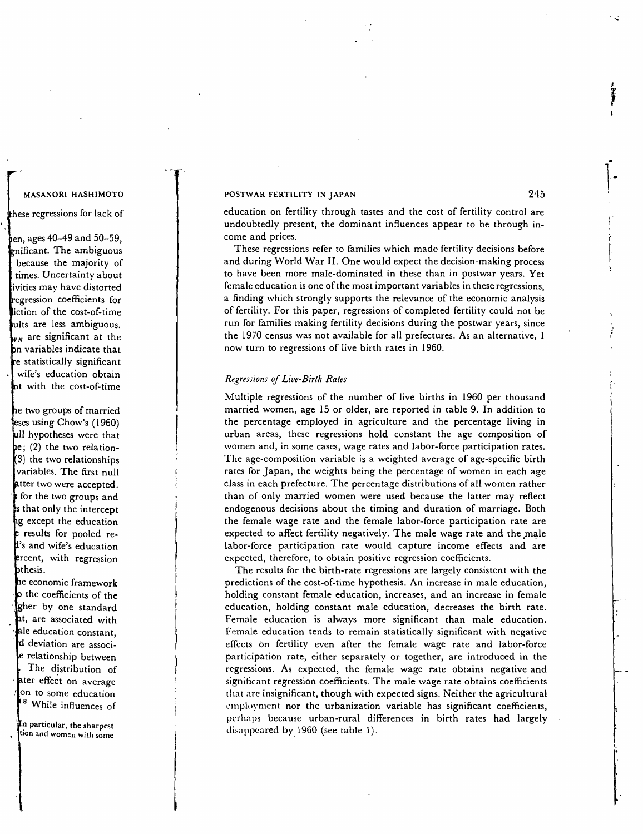education on fertility through tastes and the cost of fertility control are undoubtedly present, the dominant influences appear to be through income and prices.

These regressions refer to families which made fertility decisions before and during World War II. One would expect the decision-making process to have been more male-dominated in these than in postwar years. Yet female education is one of the most important variables in these regressions, a finding which strongly supports the relevance of the economic analysis of fertility. For this paper, regressions of completed fertility could not be run for families making fertility decisions during the postwar years, since the 1970 census was not available for all prefectures. As an alternative, I now turn to regressions of live birth rates in 1960.

### Regressions of Live-Birth Rates

Multiple regressions of the number of live births in 1960 per thousand married women, age 15 or older, are reported in table 9. In addition to the percentage employed in agriculture and the percentage living in urban areas, these regressions hold constant the age composition of women and, in some cases, wage rates and labor-force participation rates. The age-composition variable is a weighted average of age-specific birth rates for Japan, the weights being the percentage of women in each age class in each prefecture. The percentage distributions of all women rather than of only married women were used because the latter may reflect endogenous decisions about the timing and duration of marriage. Both the female wage rate and the female labor-force participation rate are expected to affect fertility negatively. The male wage rate and the male labor-force participation rate would capture income effects and are expected, therefore, to obtain positive regression coefficients.

The results for the birth-rate regressions are largely consistent with the predictions of the cost-of-time hypothesis. An increase in male education, holding constant female education, increases, and an increase in female education, holding constant male education, decreases the birth rate. Female education is always more significant than male education. Female education tends to remain statistically significant with negative effects on fertility even after the female wage rate and labor-force participation rate, either separately or together, are introduced in the regressions. As expected, the female wage rate obtains negative and significant regression coefficients. The male wage rate obtains coefficients that arc insignificant, though with expected signs. Neither the agricultural employment nor the urbanization variable has significant coefficients, perhaps because urban-rural differences in birth rates had largely disappeared by 1960 (see table 1).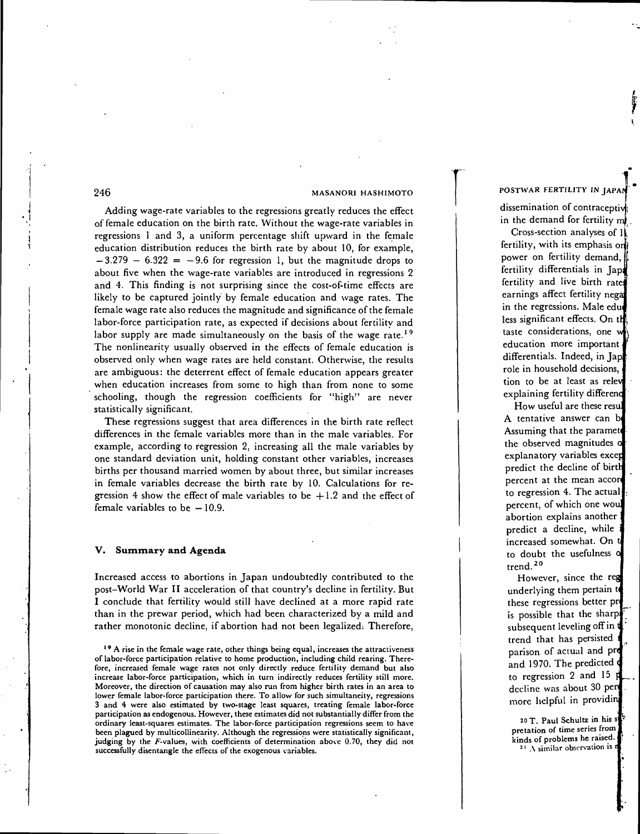Adding wage-rate variables to the regressions greatly reduces the effect of female education on the birth rate. Without the wage-rate variables in regressions 1 and 3, a uniform percentage shift upward in the female education distribution reduces the birth rate by about 10, for example,  $-3.279 - 6.322 = -9.6$  for regression 1, but the magnitude drops to about five when the wage-rate variables are introduced in regressions 2 and 4. This finding is not surprising since the cost-of-time effects are likely to be captured jointly by female education and wage rates. The female wage rate also reduces the magnitude and significance of the female labor-force participation rate, as expected if decisions about fertility and labor supply are made simultaneously on the basis of the wage rate.<sup>19</sup> The nonlinearity usually observed in the effects of female education is observed only when wage rates are held constant. Otherwise, the results are ambiguous: the deterrent effect of female education appears greater when education increases from some to high than from none to some schooling, though the regression coefficients for "high" are never statistically significant.

These regressions suggest that area differences in the birth rate reflect differences in the female variables more than in the male variables. For example, according to regression 2, increasing all the male variables by one standard deviation unit, holding constant other variables, increases births per thousand married women by about three, but similar increases in female variables decrease the birth rate by 10. Calculations for regression 4 show the effect of male variables to be  $+1.2$  and the effect of female variables to be  $-10.9$ .

# V. Summary and Agenda

Increased access to abortions in Japan undoubtedly contributed to the post—World War II acceleration of that country's decline in fertility. But I conclude that fertility would still have declined at a more rapid rate than in the prewar period, which had been characterized by a mild and rather monotonic decline, if abortion had not been legalized. Therefore,

<sup>19</sup> A rise in the female wage rate, other things being equal, increases the attractiveness of labor-force participation relative to home production, including child rearing. Therefore, increased female wage rates not only directly reduce fertility demand but also increase labor-force participation, which in turn indirectly reduces fertility still more. Moreover, the direction of causation may also run from higher birth rates in an area to lower female labor-force participation there. To allow for such simultaneity, regressions 3 and 4 were also estimated by two-stage least squares, treating female labor-force participation as endogenous. However, these estimates did not substantially differ from the ordinary least-squares estimates. The labor-force participation regressions seem to have been plagued by multicollinearity. Although the regressions were statistically significant, judging by the F-values, with coefficients of determination above 0.70, they did not successfully disentangle the effects of the exogenous variables.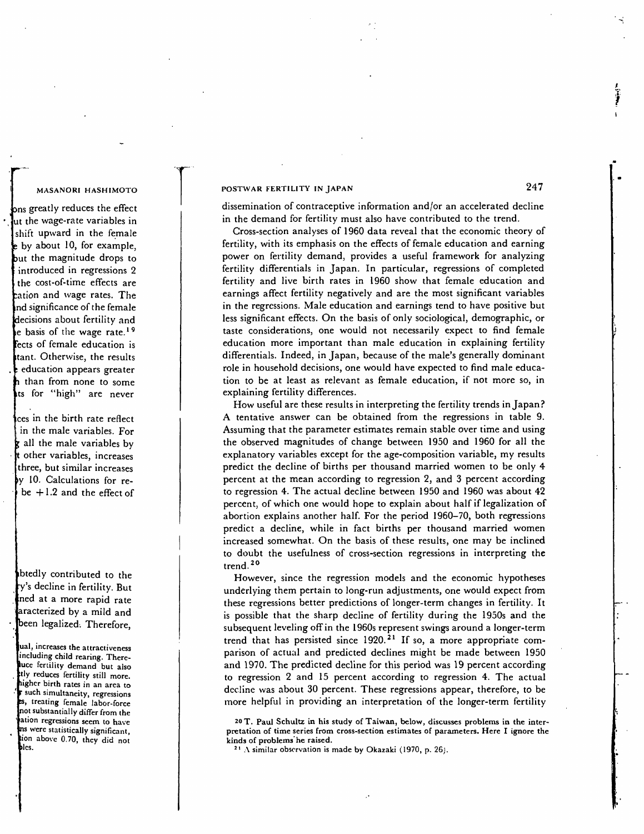dissemination of contraceptive information and/or an accelerated decline in the demand for fertility must also have contributed to the trend.

Cross-section analyses of 1960 data reveal that the economic theory of fertility, with its emphasis on the effects of female education and earning power on fertility demand, provides a useful framework for analyzing fertility differentials in Japan. In particular, regressions of completed fertility and live birth rates in 1960 show that female education and earnings affect fertility negatively and are the most significant variables in the regressions. Male education and earnings tend to have positive but less significant effects. On the basis of only sociological, demographic, or taste considerations, one would not necessarily expect to find female education more important than male education in explaining fertility differentials. Indeed, in Japan, because of the male's generally dominant role in household decisions, one would have expected to find male education to be at least as relevant as female education, if not more so, in explaining fertility differences.

How useful are these results in interpreting the fertility trends in Japan? A tentative answer can be obtained from the regressions in table 9. Assuming that the parameter estimates remain stable over time and using the observed magnitudes of change between 1950 and 1960 for all the explanatory variables except for the age-composition variable, my results predict the decline of births per thousand married women to be only 4 percent at the mean according to regression 2, and 3 percent according to regression 4. The actual decline between 1950 and 1960 was about 42 percent, of which one would hope to explain about half if legalization of abortion explains another half. For the period 1960—70, both regressions predict a decline, while in fact births per thousand married women increased somewhat. On the basis of these results, one may be inclined to doubt the usefulness of cross-section regressions in interpreting the trend. 20

However, since the regression models and the economic hypotheses underlying them pertain to long-run adjustments, one would expect from these regressions better predictions of longer-term changes in fertility. It is possible that the sharp decline of fertility during the 1950s and the subsequent leveling off in the 1960s represent swings around a longer-term trend that has persisted since  $1920$ .<sup>21</sup> If so, a more appropriate comparison of actual and predicted declines might be made between 1950 and 1970. The predicted decline for this period was 19 percent according to regression 2 and 15 percent according to regression 4. The actual decline was about 30 percent. These regressions appear, therefore, to be more helpful in providing an interpretation of the longer-term fertility

<sup>20</sup>T. Paul Schultz in his study of Taiwan, below, discusses problems in the interpretation of time series from cross-section estimates of parameters. Here I ignore the kinds of problems he raised.

 $21$  A similar observation is made by Okazaki (1970, p. 26).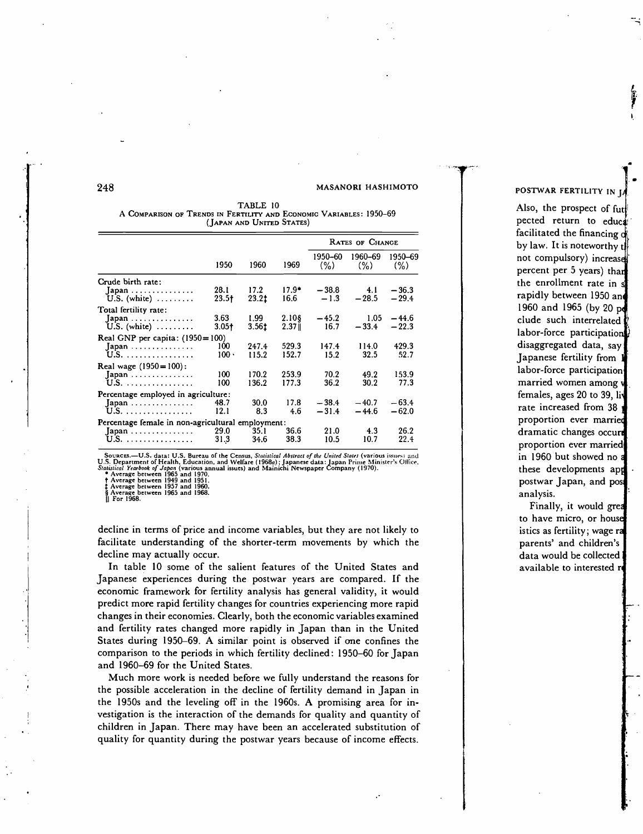$\ddot{\phantom{a}}$ 

|                                                                                                  |                           | 1960           | 1969               | <b>RATES OF CHANGE</b> |                    |                    |
|--------------------------------------------------------------------------------------------------|---------------------------|----------------|--------------------|------------------------|--------------------|--------------------|
|                                                                                                  | 1950                      |                |                    | 1950–60<br>(%)         | 1960-69<br>$(\% )$ | 1950–69<br>$(\% )$ |
| Crude birth rate:<br>Japan<br>$U.S.$ (white) $\ldots \ldots$                                     | 28.1<br>23.5 <sub>1</sub> | 17.2<br>23.21  | $17.9*$<br>16.6    | $-38.8$<br>$-1.3$      | 4.1<br>$-28.5$     | $-36.3$<br>$-29.4$ |
| Total fertility rate:<br>$\mathbf{Japan} \dots \dots \dots \dots \dots$<br>U.S. (white) $\ldots$ | 3.63<br>$3.05+$           | 1.99<br>3.56t  | 2.108<br>$2.37$ II | $-45.2$<br>16.7        | 1.05<br>$-33.4$    | $-44.6$<br>$-22.3$ |
| Real GNP per capita: $(1950 = 100)$<br>$Japan \dots \dots \dots \dots$<br>U.S.                   | 100<br>$100 -$            | 247.4<br>115.2 | 529.3<br>152.7     | 147.4<br>15.2          | 114.0<br>32.5      | 429.3<br>52.7      |
| Real wage (1950=100):<br>$Japan \dots \dots \dots \dots$<br>$U.S.$                               | 100<br>100                | 170.2<br>136.2 | 253.9<br>177.3     | 70.2<br>36.2           | 49.2<br>30.2       | 153.9<br>77.3      |
| Percentage employed in agriculture:<br>$Japan \dots \dots \dots \dots$<br>U.S.                   | 48.7<br>12.1              | 30.0<br>8.3    | 17.8<br>4.6        | $-38.4$<br>$-31.4$     | $-40.7$<br>$-44.6$ | $-63.4$<br>$-62.0$ |
| Percentage female in non-agricultural employment:<br>$Japan \dots \dots \dots \dots$<br>U.S.     | 29.0<br>31.3              | 35.1<br>34.6   | 36.6<br>38.3       | 21.0<br>10.5           | 4.3<br>10.7        | 26.2<br>22.4       |

TABLE 10 A COMPARISON OF TRENDS IN FERTILITY AND ECONOMIC VARIABLES: 1950—69 (JAPAN AND UNITED STATES)

§ Average between 1965 and 1968.<br>|| For 1968.

decline in terms of price and income variables, but they are not likely to facilitate understanding of the shorter-term movements by which the decline may actually occur.

In table 10 some of the salient features of the United States and Japanese experiences during the postwar years are compared. If the economic framework for fertility analysis has general validity, it would predict more rapid fertility changes for countries experiencing more rapid changes in their economies. Clearly, both the economic variables examined and fertility rates changed more rapidly in Japan than in the United States during 1950—69. A similar point is observed if one confines the comparison to the periods in which fertility declined: 1950—60 for Japan and 1960—69 for the United States.

Much more work is needed before we fully understand the reasons for the possible acceleration in the decline of fertility demand in Japan in the l950s and the leveling off in the l960s. A promising area for investigation is the interaction of the demands for quality and quantity of children in Japan. There may have been an accelerated substitution of quality for quantity during the postwar years because of income effects.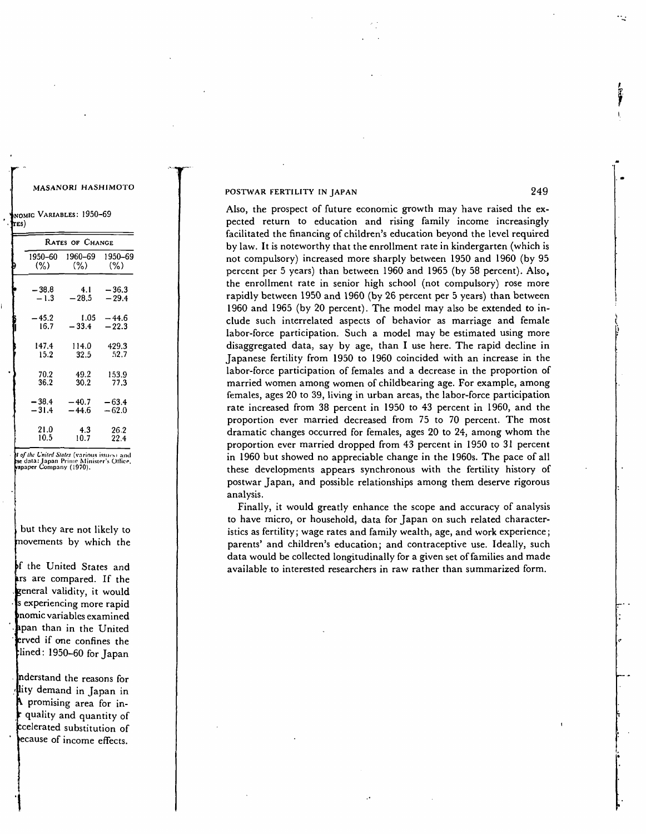Also, the prospect of future economic growth may have raised the expected return to education and rising family income increasingly facilitated the financing of children's education beyond the level required by law. It is noteworthy that the enrollment rate in kindergarten (which is not compulsory) increased more sharply between 1950 and 1960 (by 95 percent per 5 years) than between 1960 and 1965 (by 58 percent). Also, the enrollment rate in senior high school (not compulsory) rose more rapidly between 1950 and 1960 (by 26 percent per 5 years) than between 1960 and 1965 (by 20 percent). The model may also be extended to include such interrelated aspects of behavior as marriage and female labor-force participation. Such a model may be estimated using more disaggregated data, say by age, than I use here. The rapid decline in Japanese fertility from 1950 to 1960 coincided with an increase in the labor-force participation of females and a decrease in the proportion of married women among women of childbearing age. For example, among females, ages 20 to 39, living in urban areas, the labor-force participation rate increased from 38 percent in 1950 to 43 percent in 1960, and the proportion ever married decreased from 75 to 70 percent. The most dramatic changes occurred for females, ages 20 to 24, among whom the proportion ever married dropped from 43 percent in 1950 to 31 percent in 1960 but showed no appreciable change in the 1960s. The pace of all these developments appears synchronous with the fertility history of postwar Japan, and possible relationships among them deserve rigorous analysis.

Finally, it would greatly enhance the scope and accuracy of analysis to have micro, or household, data for Japan on such related characteristics as fertility; wage rates and family wealth, age, and work experience; parents' and children's education; and contraceptive use. Ideally, such data would be collected longitudinally for a given set of families and made available to interested researchers in raw rather than summarized form.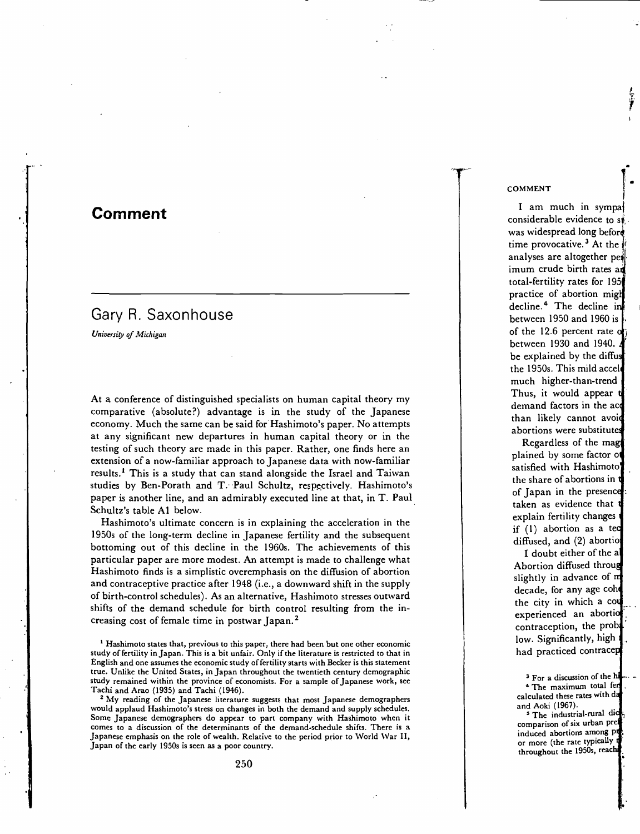# Comment

# Gary R. Saxonhouse

University of Michigan

At a conference of distinguished specialists on human capital theory my comparative (absolute?) advantage is in the study of the Japanese economy. Much the same can be said for Hashimoto's paper. No attempts at any significant new departures in human capital theory or in the testing of such theory are made in this paper. Rather, one finds here an extension of a now-familiar approach to Japanese data with now-familiar results.' This is a study that can stand alongside the Israel and Taiwan studies by Ben-Porath and T. Paul Schultz, respectively. Hashimoto's paper is another line, and an admirably executed line at that, in T. Paul Schultz's table Al below.

Flashimoto's ultimate concern is in explaining the acceleration in the l9SOs of the long-term decline in Japanese fertility and the subsequent bottoming out of this decline in the l96Os. The achievements of this particular paper are more modest. An attempt is made to challenge what Hashimoto finds is a simplistic overemphasis on the diffusion of abortion and contraceptive practice after 1948 (i.e., a downward shift in the supply of birth-control schedules). As an alternative, Hashimoto stresses outward shifts of the demand schedule for birth control resulting from the increasing cost of female time in postwar Japan.2

<sup>1</sup> Hashimoto states that, previous to this paper, there had been but one other economic study of fertility in Japan. This is a bit unfair. Only if the literature is restricted to that in English and one assumes the economic study of fertility starts with Becker is this statement true. Unlike the United States, in Japan throughout the twentieth century demographic study remained within the province of economists. For a sample of Japanese work, see

<sup>2</sup> My reading of the Japanese literature suggests that most Japanese demographers would applaud Hashimoto's stress on changes in both the demand and supply schedules. Some Japanese demographers do appear to part company with Hashimoto when it comes to a discussion of the determinants of the demand-schedule shifts. There is a Japanese emphasis on the role of wealth. Relative to the period prior to World War II, Japan of the early 1950s is seen as a poor country.

ν,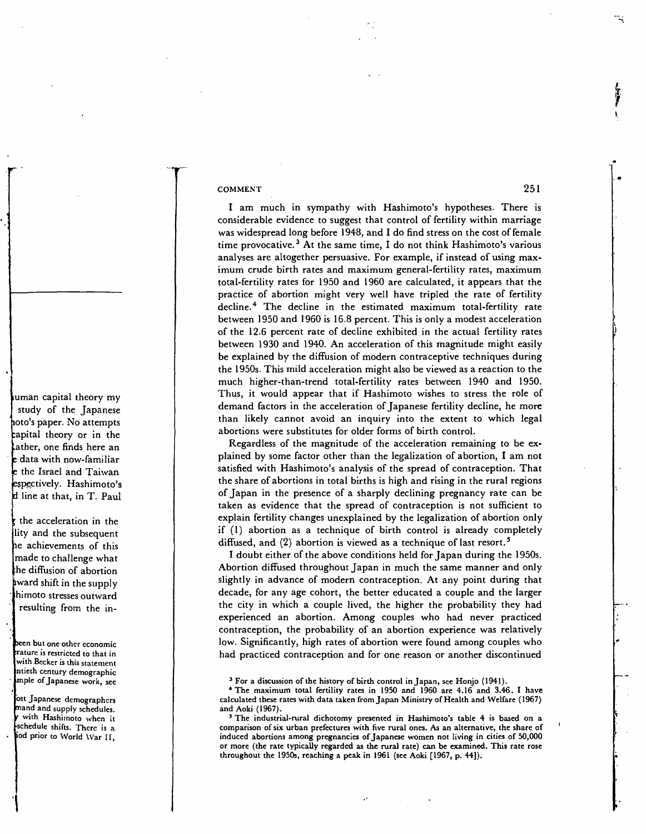#### $COMMENT$  251

I am much in sympathy with Hashimoto's hypotheses. There is considerable evidence to suggest that control of fertility within marriage was widespread long before 1948, and I do find stress on the cost of female time provocative.<sup>3</sup> At the same time, I do not think Hashimoto's various analyses are altogether persuasive. For example, if instead of using maximum crude birth rates and maximum general-fertility rates, maximum total-fertility rates for 1950 and 1960 are calculated, it appears that the practice of abortion might very well have tripled the rate of fertility decline.4 The decline in the estimated maximum total-fertility rate between 1950 and 1960 is 16.8 percent. This is only a modest acceleration of the 12.6 percent rate of decline exhibited in the actual fertility rates between 1930 and 1940. An acceleration of this magnitude might easily be explained by the diffusion of modern contraceptive techniques during the 1950s. This mild acceleration might also be viewed as a reaction to the much higher-than-trend total-fertility rates between 1940 and 1950. Thus, it would appear that if Hashimoto wishes to stress the role of demand factors in the acceleration of Japanese fertility decline, he more than likely cannot avoid an inquiry into the extent to which legal abortions were substitutes for older forms of birth control.

Regardless of the magnitude of the acceleration remaining to be explained by some factor other than the legalization of abortion, I am not satisfied with Hashimoto's analysis of the spread of contraception. That the share of abortions in total births is high and rising in the rural regions of Japan in the presence of a sharply declining pregnancy rate can be taken as evidence that the spread of contraception is not sufficient to explain fertility changes unexplained by the legalization of abortion only if (1) abortion as a technique of birth control is already completely diffused, and (2) abortion is viewed as a technique of last resort.<sup>5</sup>

I doubt either of the above conditions held for Japan during the l950s. Abortion diffused throughout Japan in much the same manner and only slightly in advance of modern contraception. At any point during that decade, for any age cohort, the better educated a couple and the larger the city in which a couple lived, the higher the probability they had experienced an abortion. Among couples who had never practiced contraception, the probability of an abortion experience was relatively low. Significantly, high rates of abortion were found among couples who had practiced contraception and for one reason or another discontinued

<sup>3</sup> For a discussion of the history of birth control in Japan, see Honjo (1941).

 $\cdot$ 

The maximum total fertility rates in 1950 and 1960 are 4.16 and 3.46. I have calculated these rates with data taken from Japan Ministry of Health and Welfare (1967) and Aoki (1967).

<sup>5</sup> The industrial-rural dichotomy presented in Hashimoto's table 4 is based on a magnitude of it is based on a comparison of six urban prefectures with five rural ones. As an alternative, the share of induced abortions among pregnancies of Japanese women not living in cities of 50,000 or more (the rate typically regarded as the rural rate) can be examined. This rate rose throughout the l950s, reaching a peak in 1961 (see Aoki [1967, p. 44j).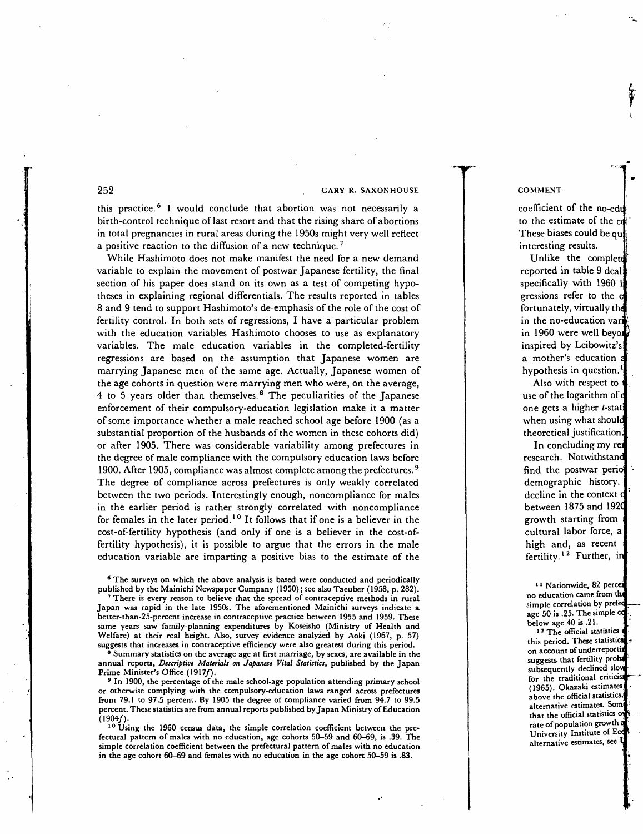$\ddot{\phantom{a}}$ 

this practice.6 I would conclude that abortion was not necessarily a birth-control technique of last resort and that the rising share of abortions in total pregnancies in rural areas during the 1950s might very well reflect a positive reaction to the diffusion of a new technique.<sup>7</sup>

While Hashimoto does not make manifest the need for a new demand variable to explain the movement of postwar Japanese fertility, the final section of his paper does stand on its own as a test of competing hypotheses in explaining regional differentials. The results reported in tables 8 and 9 tend to support Hashimoto's de-emphasis of the role of the cost of fertility control. In both sets of regressions, I have a particular problem with the education variables Hashimoto chooses to use as explanatory variables. The male education variables in the completed-fertility regressions are based on the assumption that Japanese women are marrying Japanese men of the same age. Actually, Japanese women of the age cohorts in question were marrying men who were, on the average, 4 to 5 years older than themselves.<sup>8</sup> The peculiarities of the Japanese enforcement of their compulsory-education legislation make it a matter of some importance whether a male reached school age before 1900 (as a substantial proportion of the husbands of the women in these cohorts did) or after 1905. There was considerable variability among prefectures in the degree of male compliance with the compulsory education laws before 1900. After 1905, compliance was almost complete among the prefectures.9 The degree of compliance across prefectures is only weakly correlated between the two periods. Interestingly enough, noncompliance for males in the earlier period is rather strongly correlated with noncompliance for females in the later period.'0 It follows that if one is a believer in the cost-of-fertility hypothesis (and only if one is a believer in the cost-offertility hypothesis), it is possible to argue that the errors in the male education variable are imparting a positive bias to the estimate of the

6 The surveys on which the above analysis is based were conducted and periodically published by the Mainichi Newspaper Company (1950); see also Taeuber (1958, p.282).

<sup>7</sup> There is every reason to believe that the spread of contraceptive methods in rural Japan was rapid in the late 1950s. The aforementioned Mainichi surveys indicate a better-than-25-pereent increase in contraceptive practice between 1955 and 1959. These same years saw family-planning expenditures by Koseisho (Ministry of Health and Welfare) at their real height. Also, survey evidence analyzed by Aoki (1967, p. 57) suggests that increases in contraceptive efficiency were also greatest during this period.

<sup>8</sup> Summary statistics on the average age at first marriage, by sexes, are available in the annual reports, Descriptive Materials on Japanese Vital Statistics, published by the Japan Prime Minister's Office (1917f).

<sup>9</sup> In 1900, the percentage of the male school-age population attending primary school or otherwise complying with the compulsory-education laws ranged across prefectures from 79.1 to 97.5 percent. By 1905 the degree of compliance varied from 94.7 to 99.5 percent. These statistics are from annual reports published by Japan Ministry of Education  $(1904f)$ .<br><sup>10</sup> Using the 1960 census data, the simple correlation coefficient between the pre-

fectural pattern of males with no education, age cohorts 50—59 and 60—69, is .39. The simple correlation coefficient between the prefectural pattern of males with no education in the age cohort 60—69 and females with no education in the age cohort 50-59 is .83.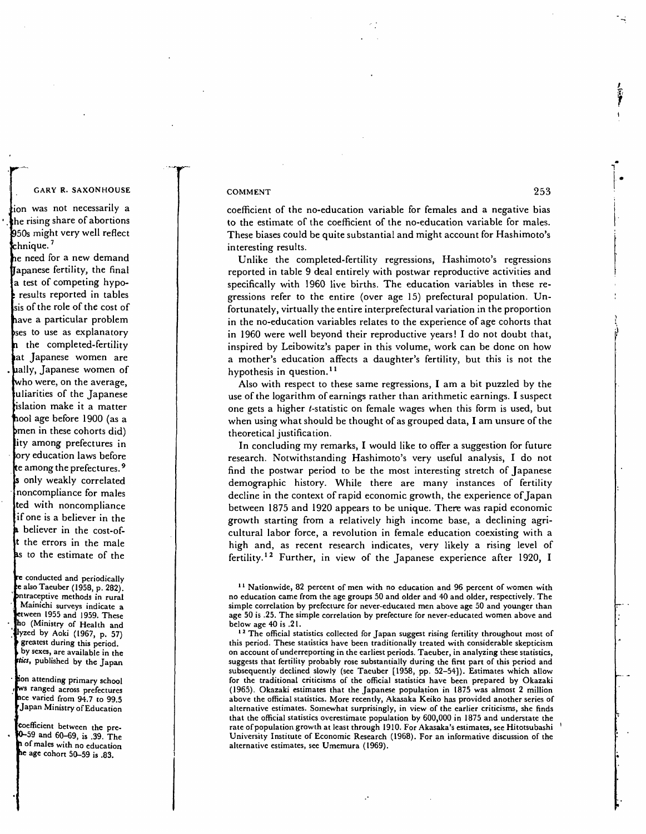coefficient of the no-education variable for females and a negative bias to the estimate of the coefficient of the no-education variable for males. These biases could be quite substantial and might account for Hashimoto's interesting results.

Unlike the completed-fertility regressions, Hashimoto's regressions reported in table 9 deal entirely with postwar reproductive activities and specifically with 1960 live births. The education variables in these regressions refer to the entire (over age 15) prefectural population. Unfortunately, virtually the entire interprefectural variation in the proportion in the no-education variables relates to the experience of age cohorts that in 1960 were well beyond their reproductive years! I do not doubt that, inspired by Leibowitz's paper in this volume, work can be done on how a mother's education affects a daughter's fertility, but this is not the hypothesis in question.<sup>11</sup>

Also with respect to these same regressions, I am a bit puzzled by the use of the logarithm of earnings rather than arithmetic earnings. I suspect one gets a higher t-statistic on female wages when this form is used, but when using what should be thought of as grouped data, I am unsure of the theoretical justification.

In concluding my remarks, I would like to offer a suggestion for future research. Notwithstanding Hashimoto's very useful analysis, I do not find the postwar period to be the most interesting stretch of Japanese demographic history. While there are many instances of fertility decline in the context of rapid economic growth, the experience of Japan between 1875 and 1920 appears to be unique. There was rapid economic growth starting from a relatively high income base, a declining agricultural labor force, a revolution in female education coexisting with a high and, as recent research indicates, very likely a rising level of fertility.<sup>12</sup> Further, in view of the Japanese experience after 1920, I 253<br>
coofficient of the no-education variable for females and a negative bias<br>
to the estimate of the coefficient of the no-education variable for males.<br>
These biases could be quite substantial and might account for Hash

 $\cdot$ 

<sup>&</sup>lt;sup>11</sup> Nationwide, 82 percent of men with no education and 96 percent of women with no education came from the age groups 50 and older and 40 and older, respectively. The simple correlation by prefecture for never-educated men above age 50 and younger than age 50 is .25. The simple correlation by prefecture for never-educated women above and below age 40 is .21.

<sup>&</sup>lt;sup>12</sup> The official statistics collected for Japan suggest rising fertility throughout most of this period. These statistics have been traditionaUy treated with considerable skepticism on account of underreporting in the earliest periods. Taeuber, in analyzing these statistics, suggests that fertility probably rose substantially during the first part of this period and subsequently declined slowly (see Taeuber [1958, pp. 52—541). Estimates which allow for the traditional criticisms of the official statistics have been prepared by Okazaki (1965). Okazaki estimates that the Japanese population in 1875 was almost 2 million above the official statistics. More recently, Akasaka Keiko has provided another series of alternative estimates. Somewhat surprisingly, in view of the earlier criticisms, she finds that the official statistics overestimate population by 600,000 in 1875 and understate the rate of population growth at least through 1910. For Akasaka's estimates, see Hitotsubashi University Institute of Economic Research (1968). For an informative discussion of the alternative estimates, see Umemura (1969).